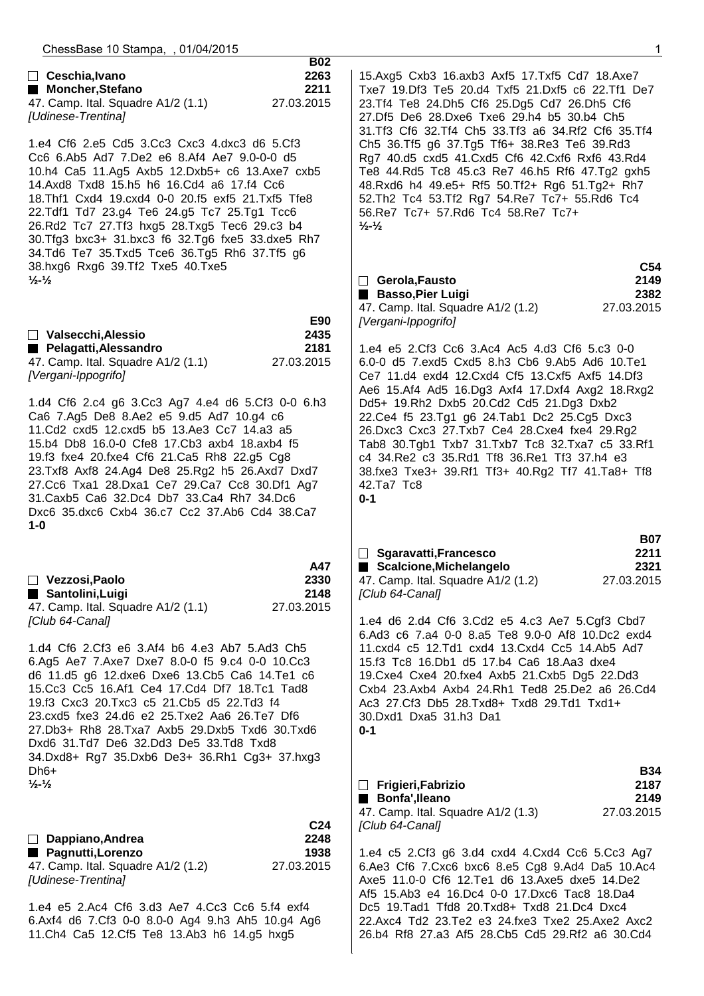| ChessBase 10 Stampa, , 01/04/2015                                                                                                                                                                                                                                                                                                                                                                                                                                                             |                                          |                                                                                                                                                                                                                                                                                                                             | 1                  |
|-----------------------------------------------------------------------------------------------------------------------------------------------------------------------------------------------------------------------------------------------------------------------------------------------------------------------------------------------------------------------------------------------------------------------------------------------------------------------------------------------|------------------------------------------|-----------------------------------------------------------------------------------------------------------------------------------------------------------------------------------------------------------------------------------------------------------------------------------------------------------------------------|--------------------|
| □ Ceschia, Ivano<br>Moncher, Stefano<br>47. Camp. Ital. Squadre A1/2 (1.1)<br>[Udinese-Trentina]                                                                                                                                                                                                                                                                                                                                                                                              | <b>B02</b><br>2263<br>2211<br>27.03.2015 | 15.Axg5 Cxb3 16.axb3 Axf5 17.Txf5 Cd7 18.Axe7<br>Txe7 19. Df3 Te5 20. d4 Txf5 21. Dxf5 c6 22. Tf1 De7<br>23.Tf4 Te8 24.Dh5 Cf6 25.Dg5 Cd7 26.Dh5 Cf6<br>27.Df5 De6 28.Dxe6 Txe6 29.h4 b5 30.b4 Ch5<br>31.Tf3 Cf6 32.Tf4 Ch5 33.Tf3 a6 34.Rf2 Cf6 35.Tf4                                                                     |                    |
| 1.e4 Cf6 2.e5 Cd5 3.Cc3 Cxc3 4.dxc3 d6 5.Cf3<br>Cc6 6.Ab5 Ad7 7.De2 e6 8.Af4 Ae7 9.0-0-0 d5<br>10.h4 Ca5 11.Ag5 Axb5 12.Dxb5+ c6 13.Axe7 cxb5<br>14.Axd8 Txd8 15.h5 h6 16.Cd4 a6 17.f4 Cc6<br>18. Thf1 Cxd4 19. cxd4 0-0 20. f5 exf5 21. Txf5 Tfe8<br>22.Tdf1 Td7 23.g4 Te6 24.g5 Tc7 25.Tg1 Tcc6<br>26.Rd2 Tc7 27.Tf3 hxg5 28.Txg5 Tec6 29.c3 b4<br>30. Tfg3 bxc3+ 31. bxc3 f6 32. Tg6 fxe5 33. dxe5 Rh7<br>34.Td6 Te7 35.Txd5 Tce6 36.Tg5 Rh6 37.Tf5 g6<br>38.hxg6 Rxg6 39.Tf2 Txe5 40.Txe5 |                                          | Ch5 36.Tf5 g6 37.Tg5 Tf6+ 38.Re3 Te6 39.Rd3<br>Rg7 40.d5 cxd5 41.Cxd5 Cf6 42.Cxf6 Rxf6 43.Rd4<br>Te8 44.Rd5 Tc8 45.c3 Re7 46.h5 Rf6 47.Tg2 gxh5<br>48. Rxd6 h4 49. e5+ Rf5 50. Tf2+ Rg6 51. Tg2+ Rh7<br>52.Th2 Tc4 53.Tf2 Rg7 54.Re7 Tc7+ 55.Rd6 Tc4<br>56.Re7 Tc7+ 57.Rd6 Tc4 58.Re7 Tc7+<br>$\frac{1}{2}$ - $\frac{1}{2}$ | C <sub>54</sub>    |
| $\frac{1}{2}$ - $\frac{1}{2}$                                                                                                                                                                                                                                                                                                                                                                                                                                                                 |                                          | □ Gerola, Fausto                                                                                                                                                                                                                                                                                                            | 2149               |
|                                                                                                                                                                                                                                                                                                                                                                                                                                                                                               |                                          | <b>Basso, Pier Luigi</b>                                                                                                                                                                                                                                                                                                    | 2382               |
|                                                                                                                                                                                                                                                                                                                                                                                                                                                                                               | E90                                      | 47. Camp. Ital. Squadre A1/2 (1.2)<br>[Vergani-Ippogrifo]                                                                                                                                                                                                                                                                   | 27.03.2015         |
| □ Valsecchi, Alessio                                                                                                                                                                                                                                                                                                                                                                                                                                                                          | 2435                                     |                                                                                                                                                                                                                                                                                                                             |                    |
| Pelagatti, Alessandro                                                                                                                                                                                                                                                                                                                                                                                                                                                                         | 2181                                     | 1.e4 e5 2.Cf3 Cc6 3.Ac4 Ac5 4.d3 Cf6 5.c3 0-0                                                                                                                                                                                                                                                                               |                    |
| 47. Camp. Ital. Squadre A1/2 (1.1)<br>[Vergani-Ippogrifo]                                                                                                                                                                                                                                                                                                                                                                                                                                     | 27.03.2015                               | 6.0-0 d5 7.exd5 Cxd5 8.h3 Cb6 9.Ab5 Ad6 10.Te1<br>Ce7 11.d4 exd4 12.Cxd4 Cf5 13.Cxf5 Axf5 14.Df3<br>Ae6 15.Af4 Ad5 16.Dg3 Axf4 17.Dxf4 Axg2 18.Rxg2                                                                                                                                                                         |                    |
| 1.d4 Cf6 2.c4 g6 3.Cc3 Ag7 4.e4 d6 5.Cf3 0-0 6.h3<br>Ca6 7.Ag5 De8 8.Ae2 e5 9.d5 Ad7 10.g4 c6<br>11.Cd2 cxd5 12.cxd5 b5 13.Ae3 Cc7 14.a3 a5<br>15.b4 Db8 16.0-0 Cfe8 17.Cb3 axb4 18.axb4 f5<br>19.f3 fxe4 20.fxe4 Cf6 21.Ca5 Rh8 22.g5 Cg8<br>23.Txf8 Axf8 24.Ag4 De8 25.Rg2 h5 26.Axd7 Dxd7<br>27. Cc6 Txa1 28. Dxa1 Ce7 29. Ca7 Cc8 30. Df1 Ag7<br>31. Caxb5 Ca6 32. Dc4 Db7 33. Ca4 Rh7 34. Dc6<br>Dxc6 35.dxc6 Cxb4 36.c7 Cc2 37.Ab6 Cd4 38.Ca7                                           |                                          | Dd5+ 19.Rh2 Dxb5 20.Cd2 Cd5 21.Dg3 Dxb2<br>22.Ce4 f5 23.Tg1 g6 24.Tab1 Dc2 25.Cg5 Dxc3<br>26.Dxc3 Cxc3 27.Txb7 Ce4 28.Cxe4 fxe4 29.Rg2<br>Tab8 30. Tgb1 Txb7 31. Txb7 Tc8 32. Txa7 c5 33. Rf1                                                                                                                               |                    |
|                                                                                                                                                                                                                                                                                                                                                                                                                                                                                               |                                          | c4 34. Re2 c3 35. Rd1 Tf8 36. Re1 Tf3 37. h4 e3<br>38.fxe3 Txe3+ 39.Rf1 Tf3+ 40.Rg2 Tf7 41.Ta8+ Tf8<br>42.Ta7 Tc8<br>$0 - 1$                                                                                                                                                                                                |                    |
| $1 - 0$                                                                                                                                                                                                                                                                                                                                                                                                                                                                                       |                                          |                                                                                                                                                                                                                                                                                                                             | <b>B07</b>         |
|                                                                                                                                                                                                                                                                                                                                                                                                                                                                                               |                                          | Sgaravatti, Francesco                                                                                                                                                                                                                                                                                                       | 2211               |
| □ Vezzosi, Paolo<br>■ Santolini, Luigi<br>47. Camp. Ital. Squadre A1/2 (1.1)                                                                                                                                                                                                                                                                                                                                                                                                                  | A47<br>2330<br>2148<br>27.03.2015        | Scalcione, Michelangelo<br>47. Camp. Ital. Squadre A1/2 (1.2)<br>[Club 64-Canal]                                                                                                                                                                                                                                            | 2321<br>27.03.2015 |
| [Club 64-Canal]                                                                                                                                                                                                                                                                                                                                                                                                                                                                               |                                          | 1.e4 d6 2.d4 Cf6 3.Cd2 e5 4.c3 Ae7 5.Cgf3 Cbd7<br>6.Ad3 c6 7.a4 0-0 8.a5 Te8 9.0-0 Af8 10.Dc2 exd4                                                                                                                                                                                                                          |                    |
| 1.d4 Cf6 2.Cf3 e6 3.Af4 b6 4.e3 Ab7 5.Ad3 Ch5<br>6.Ag5 Ae7 7.Axe7 Dxe7 8.0-0 f5 9.c4 0-0 10.Cc3<br>d6 11.d5 g6 12.dxe6 Dxe6 13.Cb5 Ca6 14.Te1 c6<br>15.Cc3 Cc5 16.Af1 Ce4 17.Cd4 Df7 18.Tc1 Tad8<br>19.f3 Cxc3 20.Txc3 c5 21.Cb5 d5 22.Td3 f4<br>23.cxd5 fxe3 24.d6 e2 25.Txe2 Aa6 26.Te7 Df6<br>27.Db3+ Rh8 28.Txa7 Axb5 29.Dxb5 Txd6 30.Txd6<br>Dxd6 31.Td7 De6 32.Dd3 De5 33.Td8 Txd8<br>34.Dxd8+ Rg7 35.Dxb6 De3+ 36.Rh1 Cg3+ 37.hxg3<br>$Dh6+$                                           |                                          | 11.cxd4 c5 12.Td1 cxd4 13.Cxd4 Cc5 14.Ab5 Ad7<br>15.f3 Tc8 16.Db1 d5 17.b4 Ca6 18.Aa3 dxe4<br>19. Cxe4 Cxe4 20. fxe4 Axb5 21. Cxb5 Dg5 22. Dd3<br>Cxb4 23.Axb4 Axb4 24.Rh1 Ted8 25.De2 a6 26.Cd4<br>Ac3 27.Cf3 Db5 28.Txd8+ Txd8 29.Td1 Txd1+<br>30.Dxd1 Dxa5 31.h3 Da1<br>$0 - 1$                                          | <b>B34</b>         |
| $\frac{1}{2}$ $\frac{1}{2}$                                                                                                                                                                                                                                                                                                                                                                                                                                                                   |                                          | $\Box$ Frigieri, Fabrizio                                                                                                                                                                                                                                                                                                   | 2187               |
|                                                                                                                                                                                                                                                                                                                                                                                                                                                                                               | C <sub>24</sub>                          | Bonfa', Ileano<br>47. Camp. Ital. Squadre A1/2 (1.3)<br>[Club 64-Canal]                                                                                                                                                                                                                                                     | 2149<br>27.03.2015 |
| $\Box$ Dappiano, Andrea                                                                                                                                                                                                                                                                                                                                                                                                                                                                       | 2248                                     |                                                                                                                                                                                                                                                                                                                             |                    |
| ■ Pagnutti, Lorenzo<br>47. Camp. Ital. Squadre A1/2 (1.2)<br>[Udinese-Trentina]                                                                                                                                                                                                                                                                                                                                                                                                               | 1938<br>27.03.2015                       | 1.e4 c5 2.Cf3 g6 3.d4 cxd4 4.Cxd4 Cc6 5.Cc3 Ag7<br>6.Ae3 Cf6 7.Cxc6 bxc6 8.e5 Cg8 9.Ad4 Da5 10.Ac4<br>Axe5 11.0-0 Cf6 12.Te1 d6 13.Axe5 dxe5 14.De2<br>Af5 15.Ab3 e4 16.Dc4 0-0 17.Dxc6 Tac8 18.Da4                                                                                                                         |                    |
| 1.e4 e5 2.Ac4 Cf6 3.d3 Ae7 4.Cc3 Cc6 5.f4 exf4                                                                                                                                                                                                                                                                                                                                                                                                                                                |                                          | Dc5 19.Tad1 Tfd8 20.Txd8+ Txd8 21.Dc4 Dxc4                                                                                                                                                                                                                                                                                  |                    |

 22.Axc4 Td2 23.Te2 e3 24.fxe3 Txe2 25.Axe2 Axc2 26.b4 Rf8 27.a3 Af5 28.Cb5 Cd5 29.Rf2 a6 30.Cd4

 6.Axf4 d6 7.Cf3 0-0 8.0-0 Ag4 9.h3 Ah5 10.g4 Ag6 11.Ch4 Ca5 12.Cf5 Te8 13.Ab3 h6 14.g5 hxg5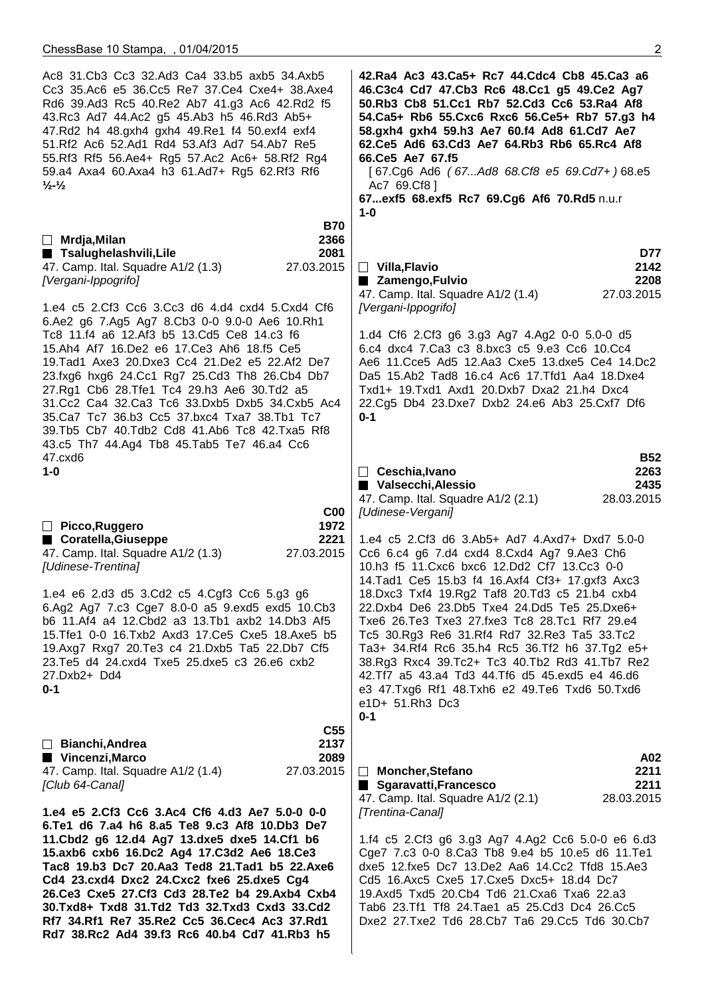| Ac8 31.Cb3 Cc3 32.Ad3 Ca4 33.b5 axb5 34.Axb5<br>Cc3 35.Ac6 e5 36.Cc5 Re7 37.Ce4 Cxe4+ 38.Axe4<br>Rd6 39.Ad3 Rc5 40.Re2 Ab7 41.g3 Ac6 42.Rd2 f5<br>43.Rc3 Ad7 44.Ac2 g5 45.Ab3 h5 46.Rd3 Ab5+<br>47.Rd2 h4 48.gxh4 gxh4 49.Re1 f4 50.exf4 exf4<br>51.Rf2 Ac6 52.Ad1 Rd4 53.Af3 Ad7 54.Ab7 Re5<br>55.Rf3 Rf5 56.Ae4+ Rg5 57.Ac2 Ac6+ 58.Rf2 Rg4<br>59.a4 Axa4 60.Axa4 h3 61.Ad7+ Rg5 62.Rf3 Rf6<br>$\frac{1}{2}$ - $\frac{1}{2}$                                                                | 42. Ra4 Ac3 43. Ca5+ Rc7 44. Cdc4 Cb8 45. Ca3 a6<br>46.C3c4 Cd7 47.Cb3 Rc6 48.Cc1 g5 49.Ce2 Ag7<br>50.Rb3 Cb8 51.Cc1 Rb7 52.Cd3 Cc6 53.Ra4 Af8<br>54. Ca5+ Rb6 55. Cxc6 Rxc6 56. Ce5+ Rb7 57. g3 h4<br>58.gxh4 gxh4 59.h3 Ae7 60.f4 Ad8 61.Cd7 Ae7<br>62.Ce5 Ad6 63.Cd3 Ae7 64.Rb3 Rb6 65.Rc4 Af8<br>66.Ce5 Ae7 67.f5<br>[67.Cg6 Ad6 (67Ad8 68.Cf8 e5 69.Cd7+) 68.e5<br>Ac7 69.Cf8 ]<br>67exf5 68.exf5 Rc7 69.Cg6 Af6 70.Rd5 n.u.r<br>$1 - 0$ |  |
|-----------------------------------------------------------------------------------------------------------------------------------------------------------------------------------------------------------------------------------------------------------------------------------------------------------------------------------------------------------------------------------------------------------------------------------------------------------------------------------------------|-----------------------------------------------------------------------------------------------------------------------------------------------------------------------------------------------------------------------------------------------------------------------------------------------------------------------------------------------------------------------------------------------------------------------------------------------|--|
| <b>B70</b><br>$\Box$ Mrdja, Milan<br>2366<br>■ Tsalughelashvili,Lile<br>2081                                                                                                                                                                                                                                                                                                                                                                                                                  | D77                                                                                                                                                                                                                                                                                                                                                                                                                                           |  |
| 27.03.2015<br>47. Camp. Ital. Squadre A1/2 (1.3)<br>[Vergani-Ippogrifo]                                                                                                                                                                                                                                                                                                                                                                                                                       | 2142<br>$\Box$ Villa, Flavio<br>2208<br>■ Zamengo, Fulvio<br>47. Camp. Ital. Squadre A1/2 (1.4)<br>27.03.2015                                                                                                                                                                                                                                                                                                                                 |  |
| 1.e4 c5 2.Cf3 Cc6 3.Cc3 d6 4.d4 cxd4 5.Cxd4 Cf6<br>6.Ae2 g6 7.Ag5 Ag7 8.Cb3 0-0 9.0-0 Ae6 10.Rh1<br>Tc8 11.f4 a6 12.Af3 b5 13.Cd5 Ce8 14.c3 f6                                                                                                                                                                                                                                                                                                                                                | [Vergani-Ippogrifo]<br>1.d4 Cf6 2.Cf3 g6 3.g3 Ag7 4.Ag2 0-0 5.0-0 d5                                                                                                                                                                                                                                                                                                                                                                          |  |
| 15.Ah4 Af7 16.De2 e6 17.Ce3 Ah6 18.f5 Ce5<br>19. Tad1 Axe3 20. Dxe3 Cc4 21. De2 e5 22. Af2 De7<br>23.fxg6 hxg6 24.Cc1 Rg7 25.Cd3 Th8 26.Cb4 Db7<br>27.Rg1 Cb6 28.Tfe1 Tc4 29.h3 Ae6 30.Td2 a5<br>31.Cc2 Ca4 32.Ca3 Tc6 33.Dxb5 Dxb5 34.Cxb5 Ac4<br>35. Ca7 Tc7 36.b3 Cc5 37. bxc4 Txa7 38. Tb1 Tc7<br>39.Tb5 Cb7 40.Tdb2 Cd8 41.Ab6 Tc8 42.Txa5 Rf8<br>43.c5 Th7 44.Ag4 Tb8 45.Tab5 Te7 46.a4 Cc6                                                                                             | 6.c4 dxc4 7.Ca3 c3 8.bxc3 c5 9.e3 Cc6 10.Cc4<br>Ae6 11. Cce5 Ad5 12. Aa3 Cxe5 13. dxe5 Ce4 14. Dc2<br>Da5 15.Ab2 Tad8 16.c4 Ac6 17.Tfd1 Aa4 18.Dxe4<br>Txd1+ 19.Txd1 Axd1 20.Dxb7 Dxa2 21.h4 Dxc4<br>22.Cg5 Db4 23.Dxe7 Dxb2 24.e6 Ab3 25.Cxf7 Df6<br>$0 - 1$                                                                                                                                                                                 |  |
| 47.cxd6<br>$1-0$                                                                                                                                                                                                                                                                                                                                                                                                                                                                              | <b>B52</b><br>2263<br>$\Box$ Ceschia, Ivano<br>Valsecchi, Alessio<br>2435                                                                                                                                                                                                                                                                                                                                                                     |  |
| C <sub>00</sub><br>1972<br>□ Picco, Ruggero                                                                                                                                                                                                                                                                                                                                                                                                                                                   | 28.03.2015<br>47. Camp. Ital. Squadre A1/2 (2.1)<br>[Udinese-Vergani]                                                                                                                                                                                                                                                                                                                                                                         |  |
| ■ Coratella, Giuseppe<br>2221<br>47. Camp. Ital. Squadre A1/2 (1.3)<br>27.03.2015<br>[Udinese-Trentina]                                                                                                                                                                                                                                                                                                                                                                                       | 1.e4 c5 2.Cf3 d6 3.Ab5+ Ad7 4.Axd7+ Dxd7 5.0-0<br>Cc6 6.c4 g6 7.d4 cxd4 8.Cxd4 Ag7 9.Ae3 Ch6<br>10.h3 f5 11. Cxc6 bxc6 12. Dd2 Cf7 13. Cc3 0-0<br>14. Tad1 Ce5 15.b3 f4 16. Axf4 Cf3+ 17. gxf3 Axc3                                                                                                                                                                                                                                           |  |
| 1.e4 e6 2.d3 d5 3.Cd2 c5 4.Cgf3 Cc6 5.g3 g6<br>6.Ag2 Ag7 7.c3 Cge7 8.0-0 a5 9.exd5 exd5 10.Cb3<br>b6 11.Af4 a4 12.Cbd2 a3 13.Tb1 axb2 14.Db3 Af5<br>15. Tfe1 0-0 16. Txb2 Axd3 17. Ce5 Cxe5 18. Axe5 b5<br>19.Axg7 Rxg7 20.Te3 c4 21.Dxb5 Ta5 22.Db7 Cf5<br>23.Te5 d4 24.cxd4 Txe5 25.dxe5 c3 26.e6 cxb2<br>27.Dxb2+ Dd4<br>$0 - 1$                                                                                                                                                           | 18. Dxc3 Txf4 19. Rg2 Taf8 20. Td3 c5 21. b4 cxb4<br>22.Dxb4 De6 23.Db5 Txe4 24.Dd5 Te5 25.Dxe6+<br>Txe6 26. Te3 Txe3 27. fxe3 Tc8 28. Tc1 Rf7 29. e4<br>Tc5 30.Rg3 Re6 31.Rf4 Rd7 32.Re3 Ta5 33.Tc2<br>Ta3+ 34.Rf4 Rc6 35.h4 Rc5 36.Tf2 h6 37.Tg2 e5+<br>38.Rg3 Rxc4 39.Tc2+ Tc3 40.Tb2 Rd3 41.Tb7 Re2<br>42.Tf7 a5 43.a4 Td3 44.Tf6 d5 45.exd5 e4 46.d6<br>e3 47. Txg6 Rf1 48. Txh6 e2 49. Te6 Txd6 50. Txd6<br>e1D+ 51.Rh3 Dc3<br>$0 - 1$  |  |
| C <sub>55</sub><br>2137<br>$\Box$ Bianchi, Andrea                                                                                                                                                                                                                                                                                                                                                                                                                                             |                                                                                                                                                                                                                                                                                                                                                                                                                                               |  |
| ■ Vincenzi, Marco<br>2089<br>27.03.2015<br>47. Camp. Ital. Squadre A1/2 (1.4)<br>[Club 64-Canal]                                                                                                                                                                                                                                                                                                                                                                                              | A02<br>□ Moncher, Stefano<br>2211<br>2211<br>■ Sgaravatti, Francesco<br>28.03.2015<br>47. Camp. Ital. Squadre A1/2 (2.1)                                                                                                                                                                                                                                                                                                                      |  |
| 1.e4 e5 2.Cf3 Cc6 3.Ac4 Cf6 4.d3 Ae7 5.0-0 0-0<br>6.Te1 d6 7.a4 h6 8.a5 Te8 9.c3 Af8 10.Db3 De7<br>11. Cbd2 g6 12.d4 Ag7 13.dxe5 dxe5 14. Cf1 b6<br>15.axb6 cxb6 16.Dc2 Ag4 17.C3d2 Ae6 18.Ce3<br>Tac8 19.b3 Dc7 20.Aa3 Ted8 21.Tad1 b5 22.Axe6<br>Cd4 23.cxd4 Dxc2 24.Cxc2 fxe6 25.dxe5 Cg4<br>26.Ce3 Cxe5 27.Cf3 Cd3 28.Te2 b4 29.Axb4 Cxb4<br>30.Txd8+ Txd8 31.Td2 Td3 32.Txd3 Cxd3 33.Cd2<br>Rf7 34.Rf1 Re7 35.Re2 Cc5 36.Cec4 Ac3 37.Rd1<br>Rd7 38.Rc2 Ad4 39.f3 Rc6 40.b4 Cd7 41.Rb3 h5 | [Trentina-Canal]<br>1.f4 c5 2.Cf3 g6 3.g3 Ag7 4.Ag2 Cc6 5.0-0 e6 6.d3<br>Cge7 7.c3 0-0 8.Ca3 Tb8 9.e4 b5 10.e5 d6 11.Te1<br>dxe5 12.fxe5 Dc7 13.De2 Aa6 14.Cc2 Tfd8 15.Ae3<br>Cd5 16.Axc5 Cxe5 17.Cxe5 Dxc5+ 18.d4 Dc7<br>19.Axd5 Txd5 20.Cb4 Td6 21.Cxa6 Txa6 22.a3<br>Tab6 23.Tf1 Tf8 24.Tae1 a5 25.Cd3 Dc4 26.Cc5<br>Dxe2 27.Txe2 Td6 28.Cb7 Ta6 29.Cc5 Td6 30.Cb7                                                                         |  |
|                                                                                                                                                                                                                                                                                                                                                                                                                                                                                               |                                                                                                                                                                                                                                                                                                                                                                                                                                               |  |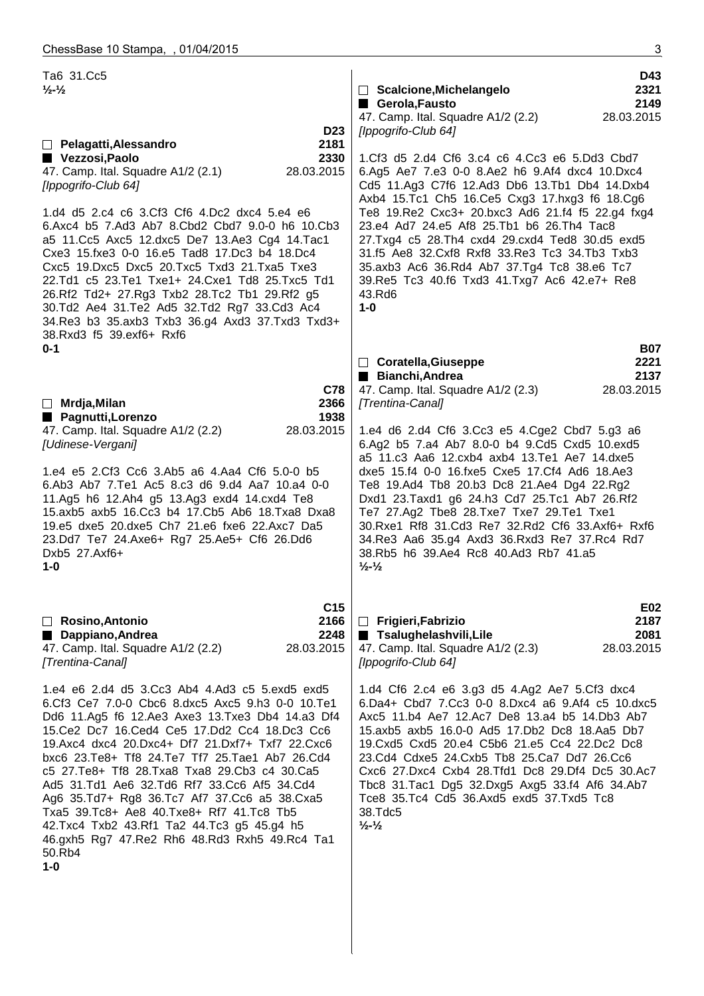| Ta6 31.Cc5<br>$\frac{1}{2}$ - $\frac{1}{2}$                                                                                                                                                                                                                                                                                                                                                                                                                                                                                                                                                                                         | D43<br>2321<br>□ Scalcione, Michelangelo<br>Gerola, Fausto<br>2149<br>47. Camp. Ital. Squadre A1/2 (2.2)<br>28.03.2015                                                                                                                                                                                                                                                                                                                                                                                 |
|-------------------------------------------------------------------------------------------------------------------------------------------------------------------------------------------------------------------------------------------------------------------------------------------------------------------------------------------------------------------------------------------------------------------------------------------------------------------------------------------------------------------------------------------------------------------------------------------------------------------------------------|--------------------------------------------------------------------------------------------------------------------------------------------------------------------------------------------------------------------------------------------------------------------------------------------------------------------------------------------------------------------------------------------------------------------------------------------------------------------------------------------------------|
| <b>D23</b><br>2181<br>□ Pelagatti, Alessandro<br>Vezzosi, Paolo<br>2330<br>47. Camp. Ital. Squadre A1/2 (2.1)<br>28.03.2015<br>[Ippogrifo-Club 64]                                                                                                                                                                                                                                                                                                                                                                                                                                                                                  | [Ippogrifo-Club 64]<br>1.Cf3 d5 2.d4 Cf6 3.c4 c6 4.Cc3 e6 5.Dd3 Cbd7<br>6.Ag5 Ae7 7.e3 0-0 8.Ae2 h6 9.Af4 dxc4 10.Dxc4<br>Cd5 11.Ag3 C7f6 12.Ad3 Db6 13.Tb1 Db4 14.Dxb4<br>Axb4 15.Tc1 Ch5 16.Ce5 Cxg3 17.hxg3 f6 18.Cg6                                                                                                                                                                                                                                                                               |
| 1.d4 d5 2.c4 c6 3.Cf3 Cf6 4.Dc2 dxc4 5.e4 e6<br>6.Axc4 b5 7.Ad3 Ab7 8.Cbd2 Cbd7 9.0-0 h6 10.Cb3<br>a5 11. Cc5 Axc5 12. dxc5 De7 13. Ae3 Cg4 14. Tac1<br>Cxe3 15.fxe3 0-0 16.e5 Tad8 17.Dc3 b4 18.Dc4<br>Cxc5 19.Dxc5 Dxc5 20.Txc5 Txd3 21.Txa5 Txe3<br>22.Td1 c5 23.Te1 Txe1+ 24.Cxe1 Td8 25.Txc5 Td1<br>26.Rf2 Td2+ 27.Rg3 Txb2 28.Tc2 Tb1 29.Rf2 g5<br>30.Td2 Ae4 31.Te2 Ad5 32.Td2 Rg7 33.Cd3 Ac4<br>34.Re3 b3 35.axb3 Txb3 36.g4 Axd3 37.Txd3 Txd3+<br>38.Rxd3 f5 39.exf6+ Rxf6                                                                                                                                                 | Te8 19.Re2 Cxc3+ 20.bxc3 Ad6 21.f4 f5 22.g4 fxg4<br>23.e4 Ad7 24.e5 Af8 25.Tb1 b6 26.Th4 Tac8<br>27.Txg4 c5 28.Th4 cxd4 29.cxd4 Ted8 30.d5 exd5<br>31.f5 Ae8 32.Cxf8 Rxf8 33.Re3 Tc3 34.Tb3 Txb3<br>35.axb3 Ac6 36.Rd4 Ab7 37.Tg4 Tc8 38.e6 Tc7<br>39. Re5 Tc3 40. f6 Txd3 41. Txg7 Ac6 42. e7+ Re8<br>43.Rd6<br>$1-0$                                                                                                                                                                                 |
| $0 - 1$                                                                                                                                                                                                                                                                                                                                                                                                                                                                                                                                                                                                                             | <b>B07</b><br>□ Coratella, Giuseppe<br>2221                                                                                                                                                                                                                                                                                                                                                                                                                                                            |
| C78<br>$\Box$ Mrdja, Milan<br>2366<br>1938<br>■ Pagnutti, Lorenzo                                                                                                                                                                                                                                                                                                                                                                                                                                                                                                                                                                   | Bianchi, Andrea<br>2137<br>47. Camp. Ital. Squadre A1/2 (2.3)<br>28.03.2015<br>[Trentina-Canal]                                                                                                                                                                                                                                                                                                                                                                                                        |
| 47. Camp. Ital. Squadre A1/2 (2.2)<br>28.03.2015<br>[Udinese-Vergani]                                                                                                                                                                                                                                                                                                                                                                                                                                                                                                                                                               | 1.e4 d6 2.d4 Cf6 3.Cc3 e5 4.Cge2 Cbd7 5.g3 a6<br>6.Ag2 b5 7.a4 Ab7 8.0-0 b4 9.Cd5 Cxd5 10.exd5                                                                                                                                                                                                                                                                                                                                                                                                         |
| 1.e4 e5 2.Cf3 Cc6 3.Ab5 a6 4.Aa4 Cf6 5.0-0 b5<br>6.Ab3 Ab7 7.Te1 Ac5 8.c3 d6 9.d4 Aa7 10.a4 0-0<br>11.Ag5 h6 12.Ah4 g5 13.Ag3 exd4 14.cxd4 Te8<br>15.axb5 axb5 16.Cc3 b4 17.Cb5 Ab6 18.Txa8 Dxa8<br>19.e5 dxe5 20.dxe5 Ch7 21.e6 fxe6 22.Axc7 Da5<br>23.Dd7 Te7 24.Axe6+ Rg7 25.Ae5+ Cf6 26.Dd6<br>Dxb5 27.Axf6+<br>1-0                                                                                                                                                                                                                                                                                                             | a5 11.c3 Aa6 12.cxb4 axb4 13.Te1 Ae7 14.dxe5<br>dxe5 15.f4 0-0 16.fxe5 Cxe5 17.Cf4 Ad6 18.Ae3<br>Te8 19.Ad4 Tb8 20.b3 Dc8 21.Ae4 Dg4 22.Rg2<br>Dxd1 23.Taxd1 g6 24.h3 Cd7 25.Tc1 Ab7 26.Rf2<br>Te7 27.Ag2 Tbe8 28.Txe7 Txe7 29.Te1 Txe1<br>30. Rxe1 Rf8 31. Cd3 Re7 32. Rd2 Cf6 33. Axf6+ Rxf6<br>34. Re3 Aa6 35. g4 Axd3 36. Rxd3 Re7 37. Rc4 Rd7<br>38.Rb5 h6 39.Ae4 Rc8 40.Ad3 Rb7 41.a5<br>$\frac{1}{2}$ - $\frac{1}{2}$                                                                           |
| C <sub>15</sub><br>2166<br>$\Box$ Rosino, Antonio<br>Dappiano, Andrea<br>2248<br>47. Camp. Ital. Squadre A1/2 (2.2)<br>28.03.2015<br>[Trentina-Canal]                                                                                                                                                                                                                                                                                                                                                                                                                                                                               | E02<br>$\Box$ Frigieri, Fabrizio<br>2187<br>■ Tsalughelashvili,Lile<br>2081<br>47. Camp. Ital. Squadre A1/2 (2.3)<br>28.03.2015<br>[Ippogrifo-Club 64]                                                                                                                                                                                                                                                                                                                                                 |
| 1.e4 e6 2.d4 d5 3.Cc3 Ab4 4.Ad3 c5 5.exd5 exd5<br>6.Cf3 Ce7 7.0-0 Cbc6 8.dxc5 Axc5 9.h3 0-0 10.Te1<br>Dd6 11.Ag5 f6 12.Ae3 Axe3 13.Txe3 Db4 14.a3 Df4<br>15. Ce2 Dc7 16. Ced4 Ce5 17. Dd2 Cc4 18. Dc3 Cc6<br>19.Axc4 dxc4 20.Dxc4+ Df7 21.Dxf7+ Txf7 22.Cxc6<br>bxc6 23.Te8+ Tf8 24.Te7 Tf7 25.Tae1 Ab7 26.Cd4<br>c5 27. Te8+ Tf8 28. Txa8 Txa8 29. Cb3 c4 30. Ca5<br>Ad5 31.Td1 Ae6 32.Td6 Rf7 33.Cc6 Af5 34.Cd4<br>Ag6 35.Td7+ Rg8 36.Tc7 Af7 37.Cc6 a5 38.Cxa5<br>Txa5 39.Tc8+ Ae8 40.Txe8+ Rf7 41.Tc8 Tb5<br>42. Txc4 Txb2 43. Rf1 Ta2 44. Tc3 g5 45. g4 h5<br>46.gxh5 Rg7 47.Re2 Rh6 48.Rd3 Rxh5 49.Rc4 Ta1<br>50.Rb4<br>$1-0$ | 1.d4 Cf6 2.c4 e6 3.g3 d5 4.Ag2 Ae7 5.Cf3 dxc4<br>6.Da4+ Cbd7 7.Cc3 0-0 8.Dxc4 a6 9.Af4 c5 10.dxc5<br>Axc5 11.b4 Ae7 12.Ac7 De8 13.a4 b5 14.Db3 Ab7<br>15.axb5 axb5 16.0-0 Ad5 17.Db2 Dc8 18.Aa5 Db7<br>19. Cxd5 Cxd5 20. e4 C5b6 21. e5 Cc4 22. Dc2 Dc8<br>23.Cd4 Cdxe5 24.Cxb5 Tb8 25.Ca7 Dd7 26.Cc6<br>Cxc6 27.Dxc4 Cxb4 28.Tfd1 Dc8 29.Df4 Dc5 30.Ac7<br>Tbc8 31. Tac1 Dg5 32. Dxg5 Axg5 33. f4 Af6 34. Ab7<br>Tce8 35.Tc4 Cd5 36.Axd5 exd5 37.Txd5 Tc8<br>38.Tdc5<br>$\frac{1}{2}$ - $\frac{1}{2}$ |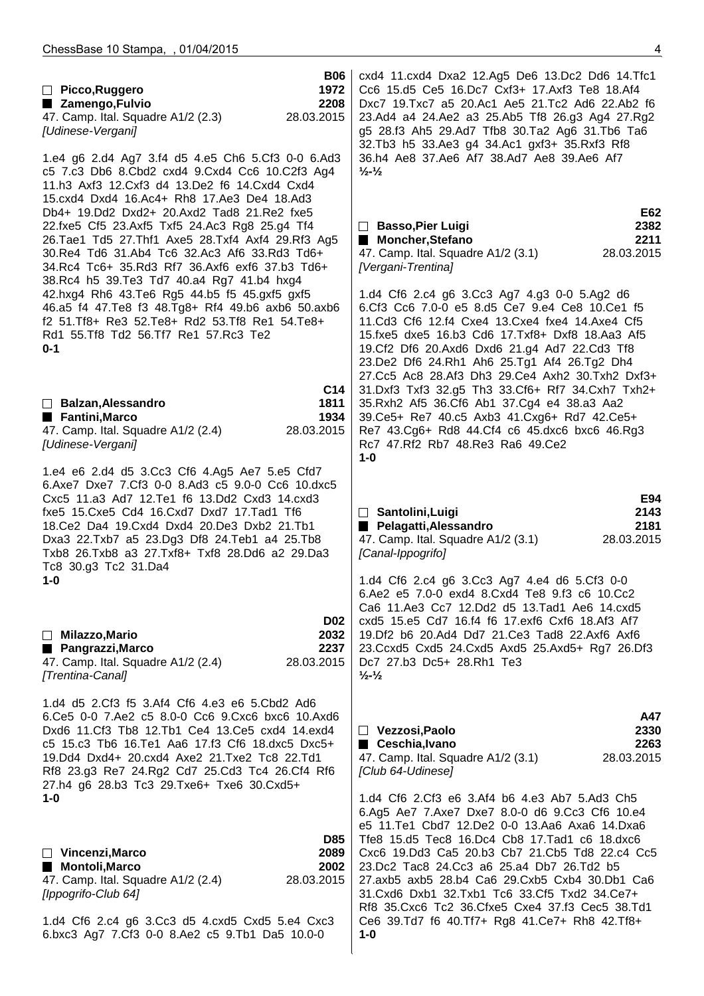| Picco, Ruggero<br>■ Zamengo, Fulvio<br>47. Camp. Ital. Squadre A1/2 (2.3)<br>[Udinese-Vergani]                                                                                                                                                                                                                                                                                                                                                                                                                                                                                                                                                                                                                           | <b>B06</b><br>1972<br>2208<br>28.03.2015      | cxd4 11.cxd4 Dxa2 12.Ag5 De6 13.Dc2 Dd6 14.Tfc1<br>Cc6 15.d5 Ce5 16.Dc7 Cxf3+ 17.Axf3 Te8 18.Af4<br>Dxc7 19.Txc7 a5 20.Ac1 Ae5 21.Tc2 Ad6 22.Ab2 f6<br>23.Ad4 a4 24.Ae2 a3 25.Ab5 Tf8 26.g3 Ag4 27.Rg2<br>g5 28.f3 Ah5 29.Ad7 Tfb8 30.Ta2 Ag6 31.Tb6 Ta6<br>32.Tb3 h5 33.Ae3 g4 34.Ac1 gxf3+ 35.Rxf3 Rf8                                                                                                                                                                               |                                   |
|--------------------------------------------------------------------------------------------------------------------------------------------------------------------------------------------------------------------------------------------------------------------------------------------------------------------------------------------------------------------------------------------------------------------------------------------------------------------------------------------------------------------------------------------------------------------------------------------------------------------------------------------------------------------------------------------------------------------------|-----------------------------------------------|----------------------------------------------------------------------------------------------------------------------------------------------------------------------------------------------------------------------------------------------------------------------------------------------------------------------------------------------------------------------------------------------------------------------------------------------------------------------------------------|-----------------------------------|
| 1.e4 g6 2.d4 Ag7 3.f4 d5 4.e5 Ch6 5.Cf3 0-0 6.Ad3<br>c5 7.c3 Db6 8.Cbd2 cxd4 9.Cxd4 Cc6 10.C2f3 Ag4<br>11.h3 Axf3 12.Cxf3 d4 13.De2 f6 14.Cxd4 Cxd4<br>15.cxd4 Dxd4 16.Ac4+ Rh8 17.Ae3 De4 18.Ad3<br>Db4+ 19.Dd2 Dxd2+ 20.Axd2 Tad8 21.Re2 fxe5<br>22.fxe5 Cf5 23.Axf5 Txf5 24.Ac3 Rg8 25.g4 Tf4<br>26. Tae1 Td5 27. Thf1 Axe5 28. Txf4 Axf4 29. Rf3 Ag5<br>30. Re4 Td6 31. Ab4 Tc6 32. Ac3 Af6 33. Rd3 Td6+<br>34.Rc4 Tc6+ 35.Rd3 Rf7 36.Axf6 exf6 37.b3 Td6+<br>38.Rc4 h5 39.Te3 Td7 40.a4 Rg7 41.b4 hxg4<br>42.hxg4 Rh6 43.Te6 Rg5 44.b5 f5 45.gxf5 gxf5<br>46.a5 f4 47.Te8 f3 48.Tg8+ Rf4 49.b6 axb6 50.axb6<br>f2 51. Tf8+ Re3 52. Te8+ Rd2 53. Tf8 Re1 54. Te8+<br>Rd1 55.Tf8 Td2 56.Tf7 Re1 57.Rc3 Te2<br>$0 - 1$ |                                               | 36.h4 Ae8 37.Ae6 Af7 38.Ad7 Ae8 39.Ae6 Af7<br>$\frac{1}{2}$ $\frac{1}{2}$<br>□ Basso, Pier Luigi<br>Moncher, Stefano<br>47. Camp. Ital. Squadre A1/2 (3.1)<br>[Vergani-Trentina]<br>1.d4 Cf6 2.c4 g6 3.Cc3 Ag7 4.g3 0-0 5.Ag2 d6<br>6.Cf3 Cc6 7.0-0 e5 8.d5 Ce7 9.e4 Ce8 10.Ce1 f5<br>11.Cd3 Cf6 12.f4 Cxe4 13.Cxe4 fxe4 14.Axe4 Cf5<br>15.fxe5 dxe5 16.b3 Cd6 17.Txf8+ Dxf8 18.Aa3 Af5<br>19.Cf2 Df6 20.Axd6 Dxd6 21.g4 Ad7 22.Cd3 Tf8<br>23.De2 Df6 24.Rh1 Ah6 25.Tg1 Af4 26.Tg2 Dh4 | E62<br>2382<br>2211<br>28.03.2015 |
| □ Balzan, Alessandro<br>Fantini, Marco<br>47. Camp. Ital. Squadre A1/2 (2.4)<br>[Udinese-Vergani]                                                                                                                                                                                                                                                                                                                                                                                                                                                                                                                                                                                                                        | C <sub>14</sub><br>1811<br>1934<br>28.03.2015 | 27.Cc5 Ac8 28.Af3 Dh3 29.Ce4 Axh2 30.Txh2 Dxf3+<br>31.Dxf3 Txf3 32.g5 Th3 33.Cf6+ Rf7 34.Cxh7 Txh2+<br>35.Rxh2 Af5 36.Cf6 Ab1 37.Cg4 e4 38.a3 Aa2<br>39. Ce5+ Re7 40. c5 Axb3 41. Cxg6+ Rd7 42. Ce5+<br>Re7 43.Cg6+ Rd8 44.Cf4 c6 45.dxc6 bxc6 46.Rg3<br>Rc7 47.Rf2 Rb7 48.Re3 Ra6 49.Ce2<br>$1 - 0$                                                                                                                                                                                   |                                   |
| 1.e4 e6 2.d4 d5 3.Cc3 Cf6 4.Ag5 Ae7 5.e5 Cfd7<br>6.Axe7 Dxe7 7.Cf3 0-0 8.Ad3 c5 9.0-0 Cc6 10.dxc5<br>Cxc5 11.a3 Ad7 12.Te1 f6 13.Dd2 Cxd3 14.cxd3<br>fxe5 15. Cxe5 Cd4 16. Cxd7 Dxd7 17. Tad1 Tf6<br>18.Ce2 Da4 19.Cxd4 Dxd4 20.De3 Dxb2 21.Tb1<br>Dxa3 22.Txb7 a5 23.Dg3 Df8 24.Teb1 a4 25.Tb8<br>Txb8 26.Txb8 a3 27.Txf8+ Txf8 28.Dd6 a2 29.Da3<br>Tc8 30.g3 Tc2 31.Da4<br>$1 - 0$                                                                                                                                                                                                                                                                                                                                     |                                               | □ Santolini, Luigi<br>Pelagatti, Alessandro<br>47. Camp. Ital. Squadre A1/2 (3.1)<br>[Canal-Ippogrifo]<br>1.d4 Cf6 2.c4 g6 3.Cc3 Ag7 4.e4 d6 5.Cf3 0-0                                                                                                                                                                                                                                                                                                                                 | E94<br>2143<br>2181<br>28.03.2015 |
| $\Box$ Milazzo, Mario<br>■ Pangrazzi, Marco<br>47. Camp. Ital. Squadre A1/2 (2.4)<br>[Trentina-Canal]                                                                                                                                                                                                                                                                                                                                                                                                                                                                                                                                                                                                                    | <b>D02</b><br>2032<br>2237<br>28.03.2015      | 6.Ae2 e5 7.0-0 exd4 8.Cxd4 Te8 9.f3 c6 10.Cc2<br>Ca6 11.Ae3 Cc7 12.Dd2 d5 13.Tad1 Ae6 14.cxd5<br>cxd5 15.e5 Cd7 16.f4 f6 17.exf6 Cxf6 18.Af3 Af7<br>19. Df2 b6 20. Ad4 Dd7 21. Ce3 Tad8 22. Axf6 Axf6<br>23. Ccxd5 Cxd5 24. Cxd5 Axd5 25. Axd5+ Rg7 26. Df3<br>Dc7 27.b3 Dc5+ 28.Rh1 Te3<br>$\frac{1}{2}$ - $\frac{1}{2}$                                                                                                                                                              |                                   |
| 1.d4 d5 2.Cf3 f5 3.Af4 Cf6 4.e3 e6 5.Cbd2 Ad6<br>6.Ce5 0-0 7.Ae2 c5 8.0-0 Cc6 9.Cxc6 bxc6 10.Axd6<br>Dxd6 11.Cf3 Tb8 12.Tb1 Ce4 13.Ce5 cxd4 14.exd4<br>c5 15.c3 Tb6 16.Te1 Aa6 17.f3 Cf6 18.dxc5 Dxc5+<br>19.Dd4 Dxd4+ 20.cxd4 Axe2 21.Txe2 Tc8 22.Td1<br>Rf8 23.g3 Re7 24.Rg2 Cd7 25.Cd3 Tc4 26.Cf4 Rf6<br>27.h4 g6 28.b3 Tc3 29.Txe6+ Txe6 30.Cxd5+<br>1-0                                                                                                                                                                                                                                                                                                                                                             |                                               | $\Box$ Vezzosi, Paolo<br>■ Ceschia, Ivano<br>47. Camp. Ital. Squadre A1/2 (3.1)<br>[Club 64-Udinese]<br>1.d4 Cf6 2.Cf3 e6 3.Af4 b6 4.e3 Ab7 5.Ad3 Ch5                                                                                                                                                                                                                                                                                                                                  | A47<br>2330<br>2263<br>28.03.2015 |
| $\Box$ Vincenzi, Marco<br>Montoli, Marco<br>47. Camp. Ital. Squadre A1/2 (2.4)<br>[Ippogrifo-Club 64]<br>1.d4 Cf6 2.c4 g6 3.Cc3 d5 4.cxd5 Cxd5 5.e4 Cxc3                                                                                                                                                                                                                                                                                                                                                                                                                                                                                                                                                                 | <b>D85</b><br>2089<br>2002<br>28.03.2015      | 6.Ag5 Ae7 7.Axe7 Dxe7 8.0-0 d6 9.Cc3 Cf6 10.e4<br>e5 11. Te1 Cbd7 12. De2 0-0 13. Aa6 Axa6 14. Dxa6<br>Tfe8 15.d5 Tec8 16.Dc4 Cb8 17.Tad1 c6 18.dxc6<br>Cxc6 19.Dd3 Ca5 20.b3 Cb7 21.Cb5 Td8 22.c4 Cc5<br>23.Dc2 Tac8 24.Cc3 a6 25.a4 Db7 26.Td2 b5<br>27.axb5 axb5 28.b4 Ca6 29.Cxb5 Cxb4 30.Db1 Ca6<br>31. Cxd6 Dxb1 32. Txb1 Tc6 33. Cf5 Txd2 34. Ce7+<br>Rf8 35. Cxc6 Tc2 36. Cfxe5 Cxe4 37. f3 Cec5 38. Td1<br>Ce6 39.Td7 f6 40.Tf7+ Rg8 41.Ce7+ Rh8 42.Tf8+                      |                                   |
| 6.bxc3 Ag7 7.Cf3 0-0 8.Ae2 c5 9.Tb1 Da5 10.0-0                                                                                                                                                                                                                                                                                                                                                                                                                                                                                                                                                                                                                                                                           |                                               | $1 - 0$                                                                                                                                                                                                                                                                                                                                                                                                                                                                                |                                   |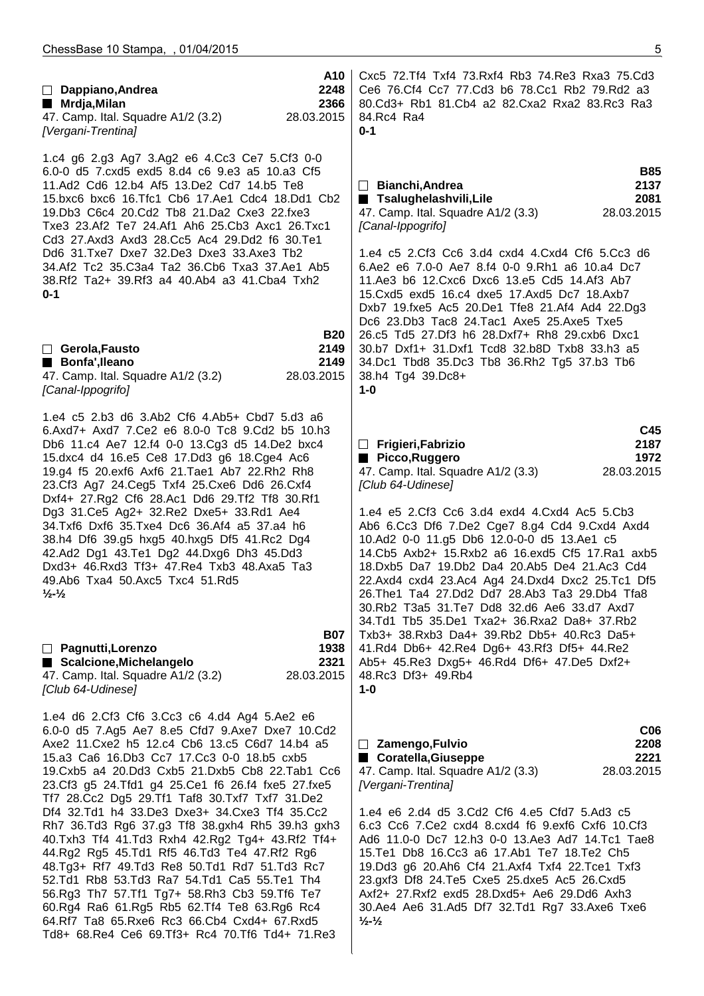| A10<br>Dappiano, Andrea<br>2248<br>$\Box$<br>2366<br>■ Mrdja,Milan<br>47. Camp. Ital. Squadre A1/2 (3.2)<br>28.03.2015<br>[Vergani-Trentina]                                                                                                                                                                                                                                                                                                                                                                                                                                                                                                                                                                                                                                                                                                                         | Cxc5 72. Tf4 Txf4 73. Rxf4 Rb3 74. Re3 Rxa3 75. Cd3<br>Ce6 76.Cf4 Cc7 77.Cd3 b6 78.Cc1 Rb2 79.Rd2 a3<br>80.Cd3+ Rb1 81.Cb4 a2 82.Cxa2 Rxa2 83.Rc3 Ra3<br>84.Rc4 Ra4<br>$0 - 1$                                                                                                                                                                                                                                                                                                                                                                                                                                                                                  |
|----------------------------------------------------------------------------------------------------------------------------------------------------------------------------------------------------------------------------------------------------------------------------------------------------------------------------------------------------------------------------------------------------------------------------------------------------------------------------------------------------------------------------------------------------------------------------------------------------------------------------------------------------------------------------------------------------------------------------------------------------------------------------------------------------------------------------------------------------------------------|-----------------------------------------------------------------------------------------------------------------------------------------------------------------------------------------------------------------------------------------------------------------------------------------------------------------------------------------------------------------------------------------------------------------------------------------------------------------------------------------------------------------------------------------------------------------------------------------------------------------------------------------------------------------|
| 1.c4 g6 2.g3 Ag7 3.Ag2 e6 4.Cc3 Ce7 5.Cf3 0-0<br>6.0-0 d5 7.cxd5 exd5 8.d4 c6 9.e3 a5 10.a3 Cf5<br>11.Ad2 Cd6 12.b4 Af5 13.De2 Cd7 14.b5 Te8<br>15.bxc6 bxc6 16.Tfc1 Cb6 17.Ae1 Cdc4 18.Dd1 Cb2<br>19. Db3 C6c4 20. Cd2 Tb8 21. Da2 Cxe3 22. fxe3<br>Txe3 23.Af2 Te7 24.Af1 Ah6 25.Cb3 Axc1 26.Txc1<br>Cd3 27.Axd3 Axd3 28.Cc5 Ac4 29.Dd2 f6 30.Te1<br>Dd6 31.Txe7 Dxe7 32.De3 Dxe3 33.Axe3 Tb2<br>34.Af2 Tc2 35.C3a4 Ta2 36.Cb6 Txa3 37.Ae1 Ab5<br>38.Rf2 Ta2+ 39.Rf3 a4 40.Ab4 a3 41.Cba4 Txh2<br>$0 - 1$<br><b>B20</b><br>$\Box$ Gerola, Fausto<br>2149<br>Bonfa', Ileano<br>2149<br>47. Camp. Ital. Squadre A1/2 (3.2)<br>28.03.2015                                                                                                                                                                                                                             | <b>B85</b><br>2137<br>$\Box$ Bianchi, Andrea<br>■ Tsalughelashvili, Lile<br>2081<br>28.03.2015<br>47. Camp. Ital. Squadre A1/2 (3.3)<br>[Canal-Ippogrifo]<br>1.e4 c5 2.Cf3 Cc6 3.d4 cxd4 4.Cxd4 Cf6 5.Cc3 d6<br>6.Ae2 e6 7.0-0 Ae7 8.f4 0-0 9.Rh1 a6 10.a4 Dc7<br>11.Ae3 b6 12.Cxc6 Dxc6 13.e5 Cd5 14.Af3 Ab7<br>15. Cxd5 exd5 16. c4 dxe5 17. Axd5 Dc7 18. Axb7<br>Dxb7 19.fxe5 Ac5 20.De1 Tfe8 21.Af4 Ad4 22.Dg3<br>Dc6 23.Db3 Tac8 24.Tac1 Axe5 25.Axe5 Txe5<br>26.c5 Td5 27.Df3 h6 28.Dxf7+ Rh8 29.cxb6 Dxc1<br>30.b7 Dxf1+ 31.Dxf1 Tcd8 32.b8D Txb8 33.h3 a5<br>34.Dc1 Tbd8 35.Dc3 Tb8 36.Rh2 Tg5 37.b3 Tb6<br>38.h4 Tg4 39.Dc8+                           |
| [Canal-Ippogrifo]<br>1.e4 c5 2.b3 d6 3.Ab2 Cf6 4.Ab5+ Cbd7 5.d3 a6<br>6.Axd7+ Axd7 7.Ce2 e6 8.0-0 Tc8 9.Cd2 b5 10.h3                                                                                                                                                                                                                                                                                                                                                                                                                                                                                                                                                                                                                                                                                                                                                 | $1 - 0$<br>C45                                                                                                                                                                                                                                                                                                                                                                                                                                                                                                                                                                                                                                                  |
| Db6 11.c4 Ae7 12.f4 0-0 13.Cg3 d5 14.De2 bxc4<br>15.dxc4 d4 16.e5 Ce8 17.Dd3 g6 18.Cge4 Ac6<br>19.g4 f5 20.exf6 Axf6 21.Tae1 Ab7 22.Rh2 Rh8<br>23.Cf3 Ag7 24.Ceg5 Txf4 25.Cxe6 Dd6 26.Cxf4<br>Dxf4+ 27.Rg2 Cf6 28.Ac1 Dd6 29.Tf2 Tf8 30.Rf1<br>Dg3 31.Ce5 Ag2+ 32.Re2 Dxe5+ 33.Rd1 Ae4<br>34.Txf6 Dxf6 35.Txe4 Dc6 36.Af4 a5 37.a4 h6<br>38.h4 Df6 39.g5 hxg5 40.hxg5 Df5 41.Rc2 Dg4<br>42.Ad2 Dg1 43.Te1 Dg2 44.Dxg6 Dh3 45.Dd3<br>Dxd3+ 46.Rxd3 Tf3+ 47.Re4 Txb3 48.Axa5 Ta3<br>49.Ab6 Txa4 50.Axc5 Txc4 51.Rd5<br>$\frac{1}{2}$ $\frac{1}{2}$<br><b>B07</b>                                                                                                                                                                                                                                                                                                       | 2187<br>Frigieri, Fabrizio<br>$\mathbf{L}$<br>Picco, Ruggero<br>1972<br>28.03.2015<br>47. Camp. Ital. Squadre A1/2 (3.3)<br>[Club 64-Udinese]<br>1.e4 e5 2.Cf3 Cc6 3.d4 exd4 4.Cxd4 Ac5 5.Cb3<br>Ab6 6.Cc3 Df6 7.De2 Cge7 8.g4 Cd4 9.Cxd4 Axd4<br>10.Ad2 0-0 11.g5 Db6 12.0-0-0 d5 13.Ae1 c5<br>14. Cb5 Axb2+ 15. Rxb2 a6 16. exd5 Cf5 17. Ra1 axb5<br>18.Dxb5 Da7 19.Db2 Da4 20.Ab5 De4 21.Ac3 Cd4<br>22.Axd4 cxd4 23.Ac4 Ag4 24.Dxd4 Dxc2 25.Tc1 Df5<br>26. The 1 Ta 4 27. Dd 2 Dd 7 28. Ab 3 Ta 3 29. Db 4 Tfa 8<br>30.Rb2 T3a5 31.Te7 Dd8 32.d6 Ae6 33.d7 Axd7<br>34.Td1 Tb5 35.De1 Txa2+ 36.Rxa2 Da8+ 37.Rb2<br>Txb3+ 38.Rxb3 Da4+ 39.Rb2 Db5+ 40.Rc3 Da5+ |
| □ Pagnutti, Lorenzo<br>1938<br>Scalcione, Michelangelo<br>2321<br>28.03.2015<br>47. Camp. Ital. Squadre A1/2 (3.2)<br>[Club 64-Udinese]                                                                                                                                                                                                                                                                                                                                                                                                                                                                                                                                                                                                                                                                                                                              | 41.Rd4 Db6+ 42.Re4 Dg6+ 43.Rf3 Df5+ 44.Re2<br>Ab5+ 45.Re3 Dxg5+ 46.Rd4 Df6+ 47.De5 Dxf2+<br>48.Rc3 Df3+ 49.Rb4<br>$1 - 0$                                                                                                                                                                                                                                                                                                                                                                                                                                                                                                                                       |
| 1.e4 d6 2.Cf3 Cf6 3.Cc3 c6 4.d4 Ag4 5.Ae2 e6<br>6.0-0 d5 7.Ag5 Ae7 8.e5 Cfd7 9.Axe7 Dxe7 10.Cd2<br>Axe2 11. Cxe2 h5 12. c4 Cb6 13. c5 C6d7 14. b4 a5<br>15.a3 Ca6 16.Db3 Cc7 17.Cc3 0-0 18.b5 cxb5<br>19. Cxb5 a4 20. Dd3 Cxb5 21. Dxb5 Cb8 22. Tab1 Cc6<br>23.Cf3 g5 24.Tfd1 g4 25.Ce1 f6 26.f4 fxe5 27.fxe5<br>Tf7 28.Cc2 Dg5 29.Tf1 Taf8 30.Txf7 Txf7 31.De2<br>Df4 32.Td1 h4 33.De3 Dxe3+ 34.Cxe3 Tf4 35.Cc2<br>Rh7 36.Td3 Rg6 37.g3 Tf8 38.gxh4 Rh5 39.h3 gxh3<br>40.Txh3 Tf4 41.Td3 Rxh4 42.Rg2 Tg4+ 43.Rf2 Tf4+<br>44.Rg2 Rg5 45.Td1 Rf5 46.Td3 Te4 47.Rf2 Rg6<br>48.Tg3+ Rf7 49.Td3 Re8 50.Td1 Rd7 51.Td3 Rc7<br>52.Td1 Rb8 53.Td3 Ra7 54.Td1 Ca5 55.Te1 Th4<br>56.Rg3 Th7 57.Tf1 Tg7+ 58.Rh3 Cb3 59.Tf6 Te7<br>60.Rg4 Ra6 61.Rg5 Rb5 62.Tf4 Te8 63.Rg6 Rc4<br>64.Rf7 Ta8 65.Rxe6 Rc3 66.Cb4 Cxd4+ 67.Rxd5<br>Td8+ 68.Re4 Ce6 69.Tf3+ Rc4 70.Tf6 Td4+ 71.Re3 | C <sub>06</sub><br>2208<br>$\Box$ Zamengo, Fulvio<br>■ Coratella, Giuseppe<br>2221<br>28.03.2015<br>47. Camp. Ital. Squadre A1/2 (3.3)<br>[Vergani-Trentina]<br>1.e4 e6 2.d4 d5 3.Cd2 Cf6 4.e5 Cfd7 5.Ad3 c5<br>6.c3 Cc6 7.Ce2 cxd4 8.cxd4 f6 9.exf6 Cxf6 10.Cf3<br>Ad6 11.0-0 Dc7 12.h3 0-0 13.Ae3 Ad7 14.Tc1 Tae8<br>15. Te1 Db8 16. Cc3 a6 17. Ab1 Te7 18. Te2 Ch5<br>19.Dd3 g6 20.Ah6 Cf4 21.Axf4 Txf4 22.Tce1 Txf3<br>23.gxf3 Df8 24.Te5 Cxe5 25.dxe5 Ac5 26.Cxd5<br>Axf2+ 27.Rxf2 exd5 28.Dxd5+ Ae6 29.Dd6 Axh3<br>30.Ae4 Ae6 31.Ad5 Df7 32.Td1 Rg7 33.Axe6 Txe6<br>$\frac{1}{2}$ $\frac{1}{2}$                                                           |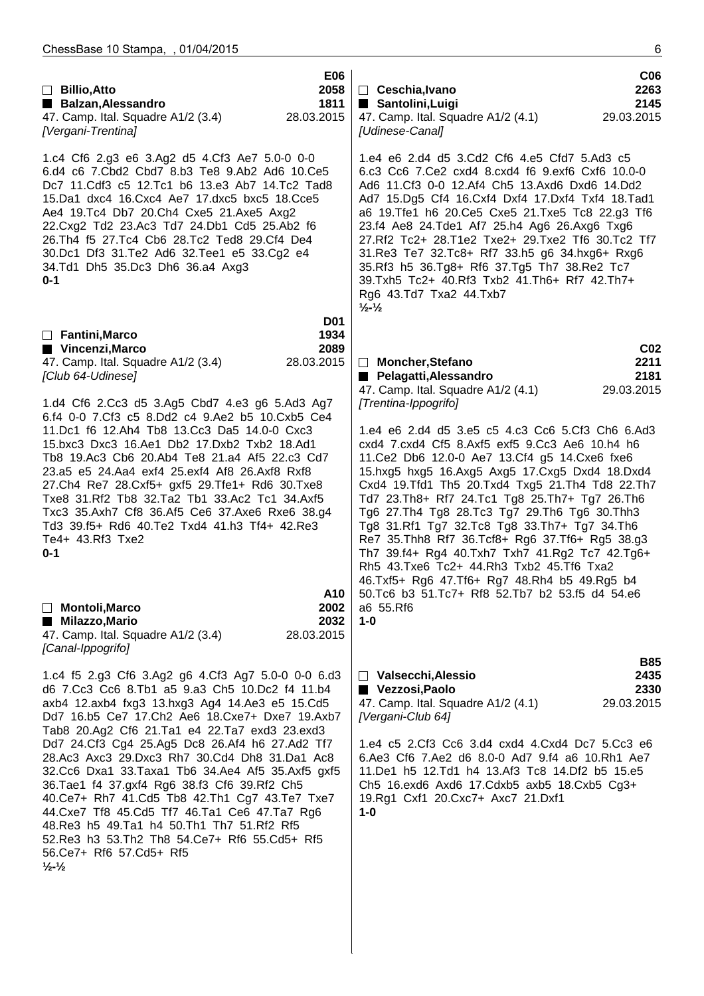| $\Box$ Billio, Atto<br>Balzan, Alessandro<br>47. Camp. Ital. Squadre A1/2 (3.4)<br>[Vergani-Trentina]                                                                                                                                                                                                                                                                                                                                                                                                                                                                                                                                                                                                                                        | <b>E06</b><br>2058<br>1811<br>28.03.2015 | $\Box$ Ceschia, Ivano<br>■ Santolini, Luigi<br>47. Camp. Ital. Squadre A1/2 (4.1)<br>[Udinese-Canal]                                                                                                                                                                                                                                                                                                                                                                                                                                                                                                                                                                                             | C <sub>06</sub><br>2263<br>2145<br>29.03.2015 |
|----------------------------------------------------------------------------------------------------------------------------------------------------------------------------------------------------------------------------------------------------------------------------------------------------------------------------------------------------------------------------------------------------------------------------------------------------------------------------------------------------------------------------------------------------------------------------------------------------------------------------------------------------------------------------------------------------------------------------------------------|------------------------------------------|--------------------------------------------------------------------------------------------------------------------------------------------------------------------------------------------------------------------------------------------------------------------------------------------------------------------------------------------------------------------------------------------------------------------------------------------------------------------------------------------------------------------------------------------------------------------------------------------------------------------------------------------------------------------------------------------------|-----------------------------------------------|
| 1.c4 Cf6 2.g3 e6 3.Ag2 d5 4.Cf3 Ae7 5.0-0 0-0<br>6.d4 c6 7.Cbd2 Cbd7 8.b3 Te8 9.Ab2 Ad6 10.Ce5<br>Dc7 11.Cdf3 c5 12.Tc1 b6 13.e3 Ab7 14.Tc2 Tad8<br>15.Da1 dxc4 16.Cxc4 Ae7 17.dxc5 bxc5 18.Cce5<br>Ae4 19.Tc4 Db7 20.Ch4 Cxe5 21.Axe5 Axg2<br>22. Cxg2 Td2 23. Ac3 Td7 24. Db1 Cd5 25. Ab2 f6<br>26.Th4 f5 27.Tc4 Cb6 28.Tc2 Ted8 29.Cf4 De4<br>30.Dc1 Df3 31.Te2 Ad6 32.Tee1 e5 33.Cg2 e4<br>34.Td1 Dh5 35.Dc3 Dh6 36.a4 Axg3<br>$0 - 1$                                                                                                                                                                                                                                                                                                   |                                          | 1.e4 e6 2.d4 d5 3.Cd2 Cf6 4.e5 Cfd7 5.Ad3 c5<br>6.c3 Cc6 7.Ce2 cxd4 8.cxd4 f6 9.exf6 Cxf6 10.0-0<br>Ad6 11.Cf3 0-0 12.Af4 Ch5 13.Axd6 Dxd6 14.Dd2<br>Ad7 15.Dg5 Cf4 16.Cxf4 Dxf4 17.Dxf4 Txf4 18.Tad1<br>a6 19. Tfe1 h6 20. Ce5 Cxe5 21. Txe5 Tc8 22. g3 Tf6<br>23.f4 Ae8 24.Tde1 Af7 25.h4 Ag6 26.Axg6 Txg6<br>27.Rf2 Tc2+ 28.T1e2 Txe2+ 29.Txe2 Tf6 30.Tc2 Tf7<br>31.Re3 Te7 32.Tc8+ Rf7 33.h5 g6 34.hxg6+ Rxg6<br>35.Rf3 h5 36.Tg8+ Rf6 37.Tg5 Th7 38.Re2 Tc7<br>39.Txh5 Tc2+ 40.Rf3 Txb2 41.Th6+ Rf7 42.Th7+<br>Rg6 43.Td7 Txa2 44.Txb7<br>$\frac{1}{2}$ - $\frac{1}{2}$                                                                                                                     |                                               |
| $\Box$ Fantini, Marco                                                                                                                                                                                                                                                                                                                                                                                                                                                                                                                                                                                                                                                                                                                        | <b>D01</b><br>1934                       |                                                                                                                                                                                                                                                                                                                                                                                                                                                                                                                                                                                                                                                                                                  |                                               |
| ■ Vincenzi, Marco<br>47. Camp. Ital. Squadre A1/2 (3.4)<br>[Club 64-Udinese]                                                                                                                                                                                                                                                                                                                                                                                                                                                                                                                                                                                                                                                                 | 2089<br>28.03.2015                       | □ Moncher, Stefano<br>Pelagatti, Alessandro<br>47. Camp. Ital. Squadre A1/2 (4.1)                                                                                                                                                                                                                                                                                                                                                                                                                                                                                                                                                                                                                | C <sub>02</sub><br>2211<br>2181<br>29.03.2015 |
| 1.d4 Cf6 2.Cc3 d5 3.Ag5 Cbd7 4.e3 g6 5.Ad3 Ag7<br>6.f4 0-0 7.Cf3 c5 8.Dd2 c4 9.Ae2 b5 10.Cxb5 Ce4<br>11.Dc1 f6 12.Ah4 Tb8 13.Cc3 Da5 14.0-0 Cxc3<br>15.bxc3 Dxc3 16.Ae1 Db2 17.Dxb2 Txb2 18.Ad1<br>Tb8 19.Ac3 Cb6 20.Ab4 Te8 21.a4 Af5 22.c3 Cd7<br>23.a5 e5 24.Aa4 exf4 25.exf4 Af8 26.Axf8 Rxf8<br>27.Ch4 Re7 28.Cxf5+ gxf5 29.Tfe1+ Rd6 30.Txe8<br>Txe8 31.Rf2 Tb8 32.Ta2 Tb1 33.Ac2 Tc1 34.Axf5<br>Txc3 35.Axh7 Cf8 36.Af5 Ce6 37.Axe6 Rxe6 38.g4<br>Td3 39.f5+ Rd6 40.Te2 Txd4 41.h3 Tf4+ 42.Re3<br>Te4+ 43.Rf3 Txe2<br>$0 - 1$                                                                                                                                                                                                         | A10                                      | [Trentina-Ippogrifo]<br>1.e4 e6 2.d4 d5 3.e5 c5 4.c3 Cc6 5.Cf3 Ch6 6.Ad3<br>cxd4 7.cxd4 Cf5 8.Axf5 exf5 9.Cc3 Ae6 10.h4 h6<br>11. Ce2 Db6 12.0-0 Ae7 13. Cf4 g5 14. Cxe6 fxe6<br>15.hxg5 hxg5 16.Axg5 Axg5 17.Cxg5 Dxd4 18.Dxd4<br>Cxd4 19.Tfd1 Th5 20.Txd4 Txg5 21.Th4 Td8 22.Th7<br>Td7 23.Th8+ Rf7 24.Tc1 Tg8 25.Th7+ Tg7 26.Th6<br>Tg6 27.Th4 Tg8 28.Tc3 Tg7 29.Th6 Tg6 30.Thh3<br>Tg8 31.Rf1 Tg7 32.Tc8 Tg8 33.Th7+ Tg7 34.Th6<br>Re7 35. Thh8 Rf7 36. Tcf8+ Rg6 37. Tf6+ Rg5 38.g3<br>Th7 39.f4+ Rg4 40.Txh7 Txh7 41.Rg2 Tc7 42.Tg6+<br>Rh5 43. Txe6 Tc2+ 44. Rh3 Txb2 45. Tf6 Txa2<br>46.Txf5+ Rg6 47.Tf6+ Rg7 48.Rh4 b5 49.Rg5 b4<br>50. Tc6 b3 51. Tc7+ Rf8 52. Tb7 b2 53. f5 d4 54. e6 |                                               |
| Montoli, Marco<br>Milazzo, Mario<br>47. Camp. Ital. Squadre A1/2 (3.4)<br>[Canal-Ippogrifo]                                                                                                                                                                                                                                                                                                                                                                                                                                                                                                                                                                                                                                                  | 2002<br>2032<br>28.03.2015               | a6 55.Rf6<br>$1 - 0$                                                                                                                                                                                                                                                                                                                                                                                                                                                                                                                                                                                                                                                                             |                                               |
| 1.c4 f5 2.g3 Cf6 3.Ag2 g6 4.Cf3 Ag7 5.0-0 0-0 6.d3<br>d6 7.Cc3 Cc6 8.Tb1 a5 9.a3 Ch5 10.Dc2 f4 11.b4<br>axb4 12.axb4 fxg3 13.hxg3 Ag4 14.Ae3 e5 15.Cd5<br>Dd7 16.b5 Ce7 17.Ch2 Ae6 18.Cxe7+ Dxe7 19.Axb7<br>Tab8 20.Ag2 Cf6 21.Ta1 e4 22.Ta7 exd3 23.exd3<br>Dd7 24.Cf3 Cg4 25.Ag5 Dc8 26.Af4 h6 27.Ad2 Tf7<br>28.Ac3 Axc3 29.Dxc3 Rh7 30.Cd4 Dh8 31.Da1 Ac8<br>32. Cc6 Dxa1 33. Taxa1 Tb6 34. Ae4 Af5 35. Axf5 gxf5<br>36. Tae 1 f4 37. gxf4 Rg6 38. f3 Cf6 39. Rf2 Ch5<br>40.Ce7+ Rh7 41.Cd5 Tb8 42.Th1 Cg7 43.Te7 Txe7<br>44. Cxe7 Tf8 45. Cd5 Tf7 46. Ta1 Ce6 47. Ta7 Rg6<br>48. Re3 h5 49. Ta1 h4 50. Th1 Th7 51. Rf2 Rf5<br>52. Re3 h3 53. Th2 Th8 54. Ce7+ Rf6 55. Cd5+ Rf5<br>56.Ce7+ Rf6 57.Cd5+ Rf5<br>$\frac{1}{2}$ $\frac{1}{2}$ |                                          | □ Valsecchi, Alessio<br>Vezzosi, Paolo<br>47. Camp. Ital. Squadre A1/2 (4.1)<br>[Vergani-Club 64]<br>1.e4 c5 2.Cf3 Cc6 3.d4 cxd4 4.Cxd4 Dc7 5.Cc3 e6<br>6.Ae3 Cf6 7.Ae2 d6 8.0-0 Ad7 9.f4 a6 10.Rh1 Ae7<br>11.De1 h5 12.Td1 h4 13.Af3 Tc8 14.Df2 b5 15.e5<br>Ch5 16.exd6 Axd6 17.Cdxb5 axb5 18.Cxb5 Cg3+<br>19.Rg1 Cxf1 20.Cxc7+ Axc7 21.Dxf1<br>$1 - 0$                                                                                                                                                                                                                                                                                                                                         | <b>B85</b><br>2435<br>2330<br>29.03.2015      |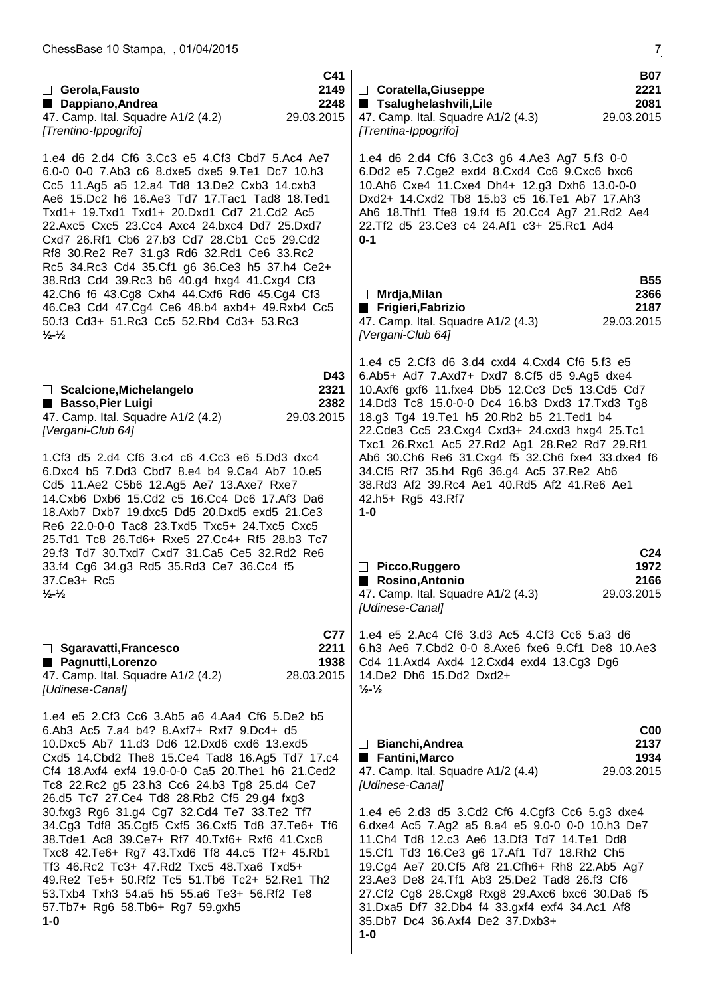| □ Gerola, Fausto<br>Dappiano, Andrea<br>47. Camp. Ital. Squadre A1/2 (4.2)<br>[Trentino-Ippogrifo]                                                                                                                                                                                                                                                                                                                                                                                                                                                                                                                                                                                                                                               | C41<br>2149<br>2248<br>29.03.2015        | □ Coratella, Giuseppe<br>■ Tsalughelashvili, Lile<br>47. Camp. Ital. Squadre A1/2 (4.3)<br>29.03.2015<br>[Trentina-Ippogrifo]                                                                                                                                                                                                                                                                                                                                                                                                                                              | <b>B07</b><br>2221<br>2081      |
|--------------------------------------------------------------------------------------------------------------------------------------------------------------------------------------------------------------------------------------------------------------------------------------------------------------------------------------------------------------------------------------------------------------------------------------------------------------------------------------------------------------------------------------------------------------------------------------------------------------------------------------------------------------------------------------------------------------------------------------------------|------------------------------------------|----------------------------------------------------------------------------------------------------------------------------------------------------------------------------------------------------------------------------------------------------------------------------------------------------------------------------------------------------------------------------------------------------------------------------------------------------------------------------------------------------------------------------------------------------------------------------|---------------------------------|
| 1.e4 d6 2.d4 Cf6 3.Cc3 e5 4.Cf3 Cbd7 5.Ac4 Ae7<br>6.0-0 0-0 7.Ab3 c6 8.dxe5 dxe5 9.Te1 Dc7 10.h3<br>Cc5 11.Ag5 a5 12.a4 Td8 13.De2 Cxb3 14.cxb3<br>Ae6 15.Dc2 h6 16.Ae3 Td7 17.Tac1 Tad8 18.Ted1<br>Txd1+ 19.Txd1 Txd1+ 20.Dxd1 Cd7 21.Cd2 Ac5<br>22.Axc5 Cxc5 23.Cc4 Axc4 24.bxc4 Dd7 25.Dxd7<br>Cxd7 26.Rf1 Cb6 27.b3 Cd7 28.Cb1 Cc5 29.Cd2<br>Rf8 30.Re2 Re7 31.g3 Rd6 32.Rd1 Ce6 33.Rc2<br>Rc5 34.Rc3 Cd4 35.Cf1 g6 36.Ce3 h5 37.h4 Ce2+                                                                                                                                                                                                                                                                                                     |                                          | 1.e4 d6 2.d4 Cf6 3.Cc3 g6 4.Ae3 Ag7 5.f3 0-0<br>6.Dd2 e5 7.Cge2 exd4 8.Cxd4 Cc6 9.Cxc6 bxc6<br>10.Ah6 Cxe4 11.Cxe4 Dh4+ 12.g3 Dxh6 13.0-0-0<br>Dxd2+ 14.Cxd2 Tb8 15.b3 c5 16.Te1 Ab7 17.Ah3<br>Ah6 18. Thf1 Tfe8 19. f4 f5 20. Cc4 Ag7 21. Rd2 Ae4<br>22. Tf2 d5 23. Ce3 c4 24. Af1 c3+ 25. Rc1 Ad4<br>$0 - 1$                                                                                                                                                                                                                                                             |                                 |
| 38.Rd3 Cd4 39.Rc3 b6 40.g4 hxg4 41.Cxg4 Cf3<br>42.Ch6 f6 43.Cg8 Cxh4 44.Cxf6 Rd6 45.Cg4 Cf3<br>46.Ce3 Cd4 47.Cg4 Ce6 48.b4 axb4+ 49.Rxb4 Cc5<br>50.f3 Cd3+ 51.Rc3 Cc5 52.Rb4 Cd3+ 53.Rc3<br>$\frac{1}{2}$ $\frac{1}{2}$                                                                                                                                                                                                                                                                                                                                                                                                                                                                                                                          |                                          | $\Box$ Mrdja, Milan<br>Frigieri, Fabrizio<br>29.03.2015<br>47. Camp. Ital. Squadre A1/2 (4.3)<br>[Vergani-Club 64]                                                                                                                                                                                                                                                                                                                                                                                                                                                         | <b>B55</b><br>2366<br>2187      |
| D43<br>2321<br>□ Scalcione, Michelangelo<br><b>Basso, Pier Luigi</b><br>2382<br>29.03.2015<br>47. Camp. Ital. Squadre A1/2 (4.2)<br>[Vergani-Club 64]<br>1.Cf3 d5 2.d4 Cf6 3.c4 c6 4.Cc3 e6 5.Dd3 dxc4<br>6.Dxc4 b5 7.Dd3 Cbd7 8.e4 b4 9.Ca4 Ab7 10.e5<br>Cd5 11.Ae2 C5b6 12.Ag5 Ae7 13.Axe7 Rxe7<br>14. Cxb6 Dxb6 15. Cd2 c5 16. Cc4 Dc6 17. Af3 Da6<br>18.Axb7 Dxb7 19.dxc5 Dd5 20.Dxd5 exd5 21.Ce3<br>Re6 22.0-0-0 Tac8 23.Txd5 Txc5+ 24.Txc5 Cxc5                                                                                                                                                                                                                                                                                            |                                          | 1.e4 c5 2.Cf3 d6 3.d4 cxd4 4.Cxd4 Cf6 5.f3 e5<br>6.Ab5+ Ad7 7.Axd7+ Dxd7 8.Cf5 d5 9.Ag5 dxe4<br>10.Axf6 gxf6 11.fxe4 Db5 12.Cc3 Dc5 13.Cd5 Cd7<br>14.Dd3 Tc8 15.0-0-0 Dc4 16.b3 Dxd3 17.Txd3 Tg8<br>18.g3 Tg4 19.Te1 h5 20.Rb2 b5 21.Ted1 b4<br>22.Cde3 Cc5 23.Cxg4 Cxd3+ 24.cxd3 hxg4 25.Tc1<br>Txc1 26.Rxc1 Ac5 27.Rd2 Ag1 28.Re2 Rd7 29.Rf1<br>Ab6 30.Ch6 Re6 31.Cxg4 f5 32.Ch6 fxe4 33.dxe4 f6<br>34.Cf5 Rf7 35.h4 Rg6 36.g4 Ac5 37.Re2 Ab6<br>38.Rd3 Af2 39.Rc4 Ae1 40.Rd5 Af2 41.Re6 Ae1<br>42.h5+ Rg5 43.Rf7<br>$1 - 0$                                             |                                 |
| 25.Td1 Tc8 26.Td6+ Rxe5 27.Cc4+ Rf5 28.b3 Tc7<br>29.f3 Td7 30.Txd7 Cxd7 31.Ca5 Ce5 32.Rd2 Re6<br>33.f4 Cg6 34.g3 Rd5 35.Rd3 Ce7 36.Cc4 f5<br>37.Ce3+ Rc5<br>$\frac{1}{2}$ - $\frac{1}{2}$                                                                                                                                                                                                                                                                                                                                                                                                                                                                                                                                                        |                                          | Picco, Ruggero<br>Rosino, Antonio<br>29.03.2015<br>47. Camp. Ital. Squadre A1/2 (4.3)<br>[Udinese-Canal]                                                                                                                                                                                                                                                                                                                                                                                                                                                                   | C <sub>24</sub><br>1972<br>2166 |
| □ Sgaravatti, Francesco<br>■ Pagnutti, Lorenzo<br>47. Camp. Ital. Squadre A1/2 (4.2)<br>[Udinese-Canal]                                                                                                                                                                                                                                                                                                                                                                                                                                                                                                                                                                                                                                          | <b>C77</b><br>2211<br>1938<br>28.03.2015 | 1.e4 e5 2.Ac4 Cf6 3.d3 Ac5 4.Cf3 Cc6 5.a3 d6<br>6.h3 Ae6 7.Cbd2 0-0 8.Axe6 fxe6 9.Cf1 De8 10.Ae3<br>Cd4 11.Axd4 Axd4 12.Cxd4 exd4 13.Cg3 Dg6<br>14.De2 Dh6 15.Dd2 Dxd2+<br>$\frac{1}{2}$ - $\frac{1}{2}$                                                                                                                                                                                                                                                                                                                                                                   |                                 |
| 1.e4 e5 2.Cf3 Cc6 3.Ab5 a6 4.Aa4 Cf6 5.De2 b5<br>6.Ab3 Ac5 7.a4 b4? 8.Axf7+ Rxf7 9.Dc4+ d5<br>10.Dxc5 Ab7 11.d3 Dd6 12.Dxd6 cxd6 13.exd5<br>Cxd5 14.Cbd2 The8 15.Ce4 Tad8 16.Ag5 Td7 17.c4<br>Cf4 18.Axf4 exf4 19.0-0-0 Ca5 20.The1 h6 21.Ced2<br>Tc8 22.Rc2 g5 23.h3 Cc6 24.b3 Tg8 25.d4 Ce7<br>26.d5 Tc7 27.Ce4 Td8 28.Rb2 Cf5 29.g4 fxg3<br>30.fxg3 Rg6 31.g4 Cg7 32.Cd4 Te7 33.Te2 Tf7<br>34.Cg3 Tdf8 35.Cgf5 Cxf5 36.Cxf5 Td8 37.Te6+ Tf6<br>38. Tde1 Ac8 39. Ce7+ Rf7 40. Txf6+ Rxf6 41. Cxc8<br>Txc8 42.Te6+ Rg7 43.Txd6 Tf8 44.c5 Tf2+ 45.Rb1<br>Tf3 46.Rc2 Tc3+ 47.Rd2 Txc5 48.Txa6 Txd5+<br>49.Re2 Te5+ 50.Rf2 Tc5 51.Tb6 Tc2+ 52.Re1 Th2<br>53. Txb4 Txh3 54. a5 h5 55. a6 Te3+ 56. Rf2 Te8<br>57.Tb7+ Rg6 58.Tb6+ Rg7 59.gxh5<br>1-0 |                                          | Bianchi, Andrea<br>$\Box$<br>■ Fantini, Marco<br>47. Camp. Ital. Squadre A1/2 (4.4)<br>29.03.2015<br>[Udinese-Canal]<br>1.e4 e6 2.d3 d5 3.Cd2 Cf6 4.Cgf3 Cc6 5.g3 dxe4<br>6.dxe4 Ac5 7.Ag2 a5 8.a4 e5 9.0-0 0-0 10.h3 De7<br>11. Ch4 Td8 12. c3 Ae6 13. Df3 Td7 14. Te1 Dd8<br>15.Cf1 Td3 16.Ce3 g6 17.Af1 Td7 18.Rh2 Ch5<br>19.Cg4 Ae7 20.Cf5 Af8 21.Cfh6+ Rh8 22.Ab5 Ag7<br>23.Ae3 De8 24.Tf1 Ab3 25.De2 Tad8 26.f3 Cf6<br>27.Cf2 Cg8 28.Cxg8 Rxg8 29.Axc6 bxc6 30.Da6 f5<br>31.Dxa5 Df7 32.Db4 f4 33.gxf4 exf4 34.Ac1 Af8<br>35.Db7 Dc4 36.Axf4 De2 37.Dxb3+<br>$1 - 0$ | C <sub>00</sub><br>2137<br>1934 |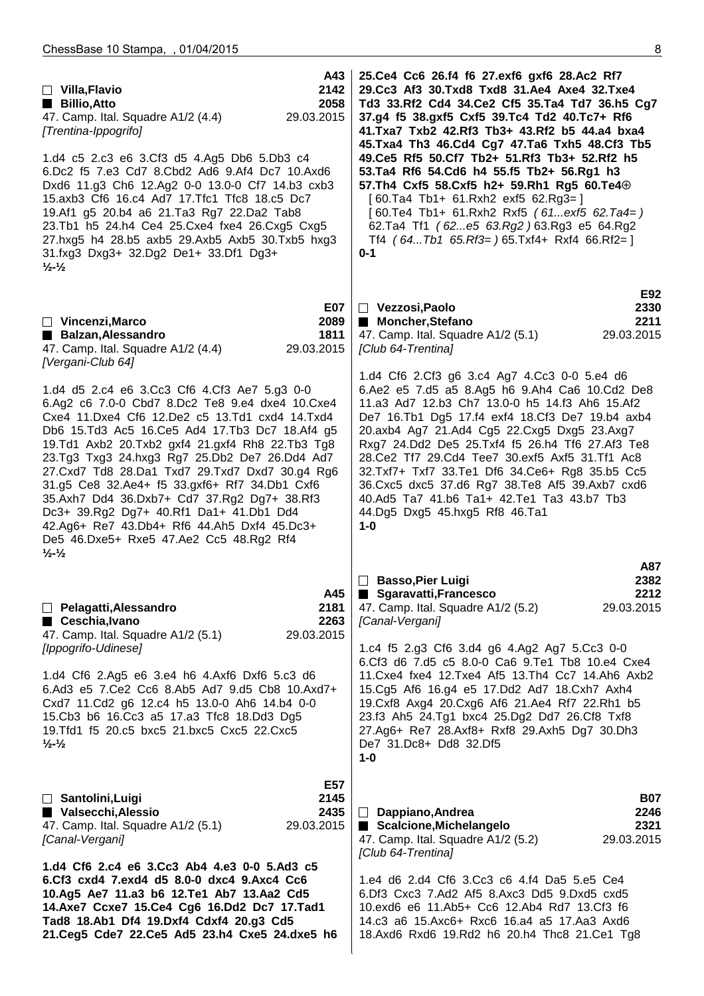| A43<br>2142<br>$\Box$ Villa, Flavio<br>2058<br>Billio, Atto<br>29.03.2015<br>47. Camp. Ital. Squadre A1/2 (4.4)<br>[Trentina-Ippogrifo]<br>1.d4 c5 2.c3 e6 3.Cf3 d5 4.Ag5 Db6 5.Db3 c4<br>6.Dc2 f5 7.e3 Cd7 8.Cbd2 Ad6 9.Af4 Dc7 10.Axd6<br>Dxd6 11.g3 Ch6 12.Ag2 0-0 13.0-0 Cf7 14.b3 cxb3<br>15.axb3 Cf6 16.c4 Ad7 17. Tfc1 Tfc8 18.c5 Dc7<br>19.Af1 g5 20.b4 a6 21.Ta3 Rg7 22.Da2 Tab8<br>23.Tb1 h5 24.h4 Ce4 25.Cxe4 fxe4 26.Cxg5 Cxg5<br>27.hxg5 h4 28.b5 axb5 29.Axb5 Axb5 30.Txb5 hxg3<br>31.fxg3 Dxg3+ 32.Dg2 De1+ 33.Df1 Dg3+<br>$\frac{1}{2}$ $\frac{1}{2}$                                                                                                                                                                                                                    | 25.Ce4 Cc6 26.f4 f6 27.exf6 gxf6 28.Ac2 Rf7<br>29.Cc3 Af3 30.Txd8 Txd8 31.Ae4 Axe4 32.Txe4<br>Td3 33.Rf2 Cd4 34.Ce2 Cf5 35.Ta4 Td7 36.h5 Cg7<br>37.g4 f5 38.gxf5 Cxf5 39.Tc4 Td2 40.Tc7+ Rf6<br>41. Txa7 Txb2 42. Rf3 Tb3+ 43. Rf2 b5 44. a4 bxa4<br>45.Txa4 Th3 46.Cd4 Cg7 47.Ta6 Txh5 48.Cf3 Tb5<br>49.Ce5 Rf5 50.Cf7 Tb2+ 51.Rf3 Tb3+ 52.Rf2 h5<br>53.Ta4 Rf6 54.Cd6 h4 55.f5 Tb2+ 56.Rg1 h3<br>57.Th4 Cxf5 58.Cxf5 h2+ 59.Rh1 Rg5 60.Te4 $\oplus$<br>$[60.Ta4 Tb1+ 61.Rxh2 exf5 62.Rg3=]$<br>$[60.Te4 Tb1+ 61.Rxh2 Rxf5 (61exf5 62.Ta4=)$<br>62.Ta4 Tf1 (62e5 63.Rg2) 63.Rg3 e5 64.Rg2<br>Tf4 $(64Tb1 65.Rf3=)65.Txf4+ Rxf4 66.Rf2=$<br>$0 - 1$                                                                   |
|------------------------------------------------------------------------------------------------------------------------------------------------------------------------------------------------------------------------------------------------------------------------------------------------------------------------------------------------------------------------------------------------------------------------------------------------------------------------------------------------------------------------------------------------------------------------------------------------------------------------------------------------------------------------------------------------------------------------------------------------------------------------------------------|-----------------------------------------------------------------------------------------------------------------------------------------------------------------------------------------------------------------------------------------------------------------------------------------------------------------------------------------------------------------------------------------------------------------------------------------------------------------------------------------------------------------------------------------------------------------------------------------------------------------------------------------------------------------------------------------------------------------------|
| <b>E07</b><br>$\Box$ Vincenzi, Marco<br>2089<br>Balzan, Alessandro<br>1811<br>47. Camp. Ital. Squadre A1/2 (4.4)<br>29.03.2015<br>[Vergani-Club 64]<br>1.d4 d5 2.c4 e6 3.Cc3 Cf6 4.Cf3 Ae7 5.g3 0-0<br>6.Ag2 c6 7.0-0 Cbd7 8.Dc2 Te8 9.e4 dxe4 10.Cxe4<br>Cxe4 11.Dxe4 Cf6 12.De2 c5 13.Td1 cxd4 14.Txd4<br>Db6 15.Td3 Ac5 16.Ce5 Ad4 17.Tb3 Dc7 18.Af4 g5<br>19.Td1 Axb2 20.Txb2 gxf4 21.gxf4 Rh8 22.Tb3 Tg8<br>23.Tg3 Txg3 24.hxg3 Rg7 25.Db2 De7 26.Dd4 Ad7<br>27. Cxd7 Td8 28. Da1 Txd7 29. Txd7 Dxd7 30. g4 Rg6<br>31.g5 Ce8 32.Ae4+ f5 33.gxf6+ Rf7 34.Db1 Cxf6<br>35.Axh7 Dd4 36.Dxb7+ Cd7 37.Rg2 Dg7+ 38.Rf3<br>Dc3+ 39.Rg2 Dg7+ 40.Rf1 Da1+ 41.Db1 Dd4<br>42.Ag6+ Re7 43.Db4+ Rf6 44.Ah5 Dxf4 45.Dc3+<br>De5 46.Dxe5+ Rxe5 47.Ae2 Cc5 48.Rg2 Rf4<br>$\frac{1}{2}$ $\frac{1}{2}$ | E92<br>$\Box$ Vezzosi, Paolo<br>2330<br>■ Moncher, Stefano<br>2211<br>47. Camp. Ital. Squadre A1/2 (5.1)<br>29.03.2015<br>[Club 64-Trentina]<br>1.d4 Cf6 2.Cf3 g6 3.c4 Ag7 4.Cc3 0-0 5.e4 d6<br>6.Ae2 e5 7.d5 a5 8.Ag5 h6 9.Ah4 Ca6 10.Cd2 De8<br>11.a3 Ad7 12.b3 Ch7 13.0-0 h5 14.f3 Ah6 15.Af2<br>De7 16.Tb1 Dg5 17.f4 exf4 18.Cf3 De7 19.b4 axb4<br>20.axb4 Ag7 21.Ad4 Cg5 22.Cxg5 Dxg5 23.Axg7<br>Rxg7 24.Dd2 De5 25.Txf4 f5 26.h4 Tf6 27.Af3 Te8<br>28. Ce2 Tf7 29. Cd4 Tee7 30. exf5 Axf5 31. Tf1 Ac8<br>32.Txf7+ Txf7 33.Te1 Df6 34.Ce6+ Rg8 35.b5 Cc5<br>36. Cxc5 dxc5 37. d6 Rg7 38. Te8 Af5 39. Axb7 cxd6<br>40.Ad5 Ta7 41.b6 Ta1+ 42.Te1 Ta3 43.b7 Tb3<br>44.Dg5 Dxg5 45.hxg5 Rf8 46.Ta1<br>$1 - 0$<br>A87 |
| A45<br>Pelagatti, Alessandro<br>2181<br>2263<br>■ Ceschia, Ivano<br>47. Camp. Ital. Squadre A1/2 (5.1)<br>29.03.2015<br>[Ippogrifo-Udinese]<br>1.d4 Cf6 2.Ag5 e6 3.e4 h6 4.Axf6 Dxf6 5.c3 d6<br>6.Ad3 e5 7.Ce2 Cc6 8.Ab5 Ad7 9.d5 Cb8 10.Axd7+<br>Cxd7 11.Cd2 g6 12.c4 h5 13.0-0 Ah6 14.b4 0-0<br>15. Cb3 b6 16. Cc3 a5 17. a3 Tfc8 18. Dd3 Dg5<br>19. Tfd1 f5 20. c5 bxc5 21. bxc5 Cxc5 22. Cxc5<br>$\frac{1}{2}$ $\frac{1}{2}$                                                                                                                                                                                                                                                                                                                                                         | <b>Basso, Pier Luigi</b><br>2382<br>$\Box$<br>2212<br>Sgaravatti, Francesco<br><b>The Contract</b><br>47. Camp. Ital. Squadre A1/2 (5.2)<br>29.03.2015<br>[Canal-Vergani]<br>1.c4 f5 2.g3 Cf6 3.d4 g6 4.Ag2 Ag7 5.Cc3 0-0<br>6.Cf3 d6 7.d5 c5 8.0-0 Ca6 9.Te1 Tb8 10.e4 Cxe4<br>11. Cxe4 fxe4 12. Txe4 Af5 13. Th4 Cc7 14. Ah6 Axb2<br>15.Cg5 Af6 16.g4 e5 17.Dd2 Ad7 18.Cxh7 Axh4<br>19. Cxf8 Axg4 20. Cxg6 Af6 21. Ae4 Rf7 22. Rh1 b5<br>23.f3 Ah5 24.Tg1 bxc4 25.Dg2 Dd7 26.Cf8 Txf8<br>27.Ag6+ Re7 28.Axf8+ Rxf8 29.Axh5 Dg7 30.Dh3<br>De7 31.Dc8+ Dd8 32.Df5<br>$1-0$                                                                                                                                            |
| E57<br>2145<br>□ Santolini, Luigi<br>Valsecchi, Alessio<br>2435<br>47. Camp. Ital. Squadre A1/2 (5.1)<br>29.03.2015<br>[Canal-Vergani]<br>1.d4 Cf6 2.c4 e6 3.Cc3 Ab4 4.e3 0-0 5.Ad3 c5<br>6.Cf3 cxd4 7.exd4 d5 8.0-0 dxc4 9.Axc4 Cc6<br>10.Ag5 Ae7 11.a3 b6 12.Te1 Ab7 13.Aa2 Cd5<br>14.Axe7 Ccxe7 15.Ce4 Cg6 16.Dd2 Dc7 17.Tad1<br>Tad8 18.Ab1 Df4 19.Dxf4 Cdxf4 20.g3 Cd5<br>21.Ceg5 Cde7 22.Ce5 Ad5 23.h4 Cxe5 24.dxe5 h6                                                                                                                                                                                                                                                                                                                                                             | <b>B07</b><br>$\Box$ Dappiano, Andrea<br>2246<br>Scalcione, Michelangelo<br>2321<br>29.03.2015<br>47. Camp. Ital. Squadre A1/2 (5.2)<br>[Club 64-Trentina]<br>1.e4 d6 2.d4 Cf6 3.Cc3 c6 4.f4 Da5 5.e5 Ce4<br>6.Df3 Cxc3 7.Ad2 Af5 8.Axc3 Dd5 9.Dxd5 cxd5<br>10.exd6 e6 11.Ab5+ Cc6 12.Ab4 Rd7 13.Cf3 f6<br>14.c3 a6 15.Axc6+ Rxc6 16.a4 a5 17.Aa3 Axd6<br>18.Axd6 Rxd6 19.Rd2 h6 20.h4 Thc8 21.Ce1 Tg8                                                                                                                                                                                                                                                                                                                |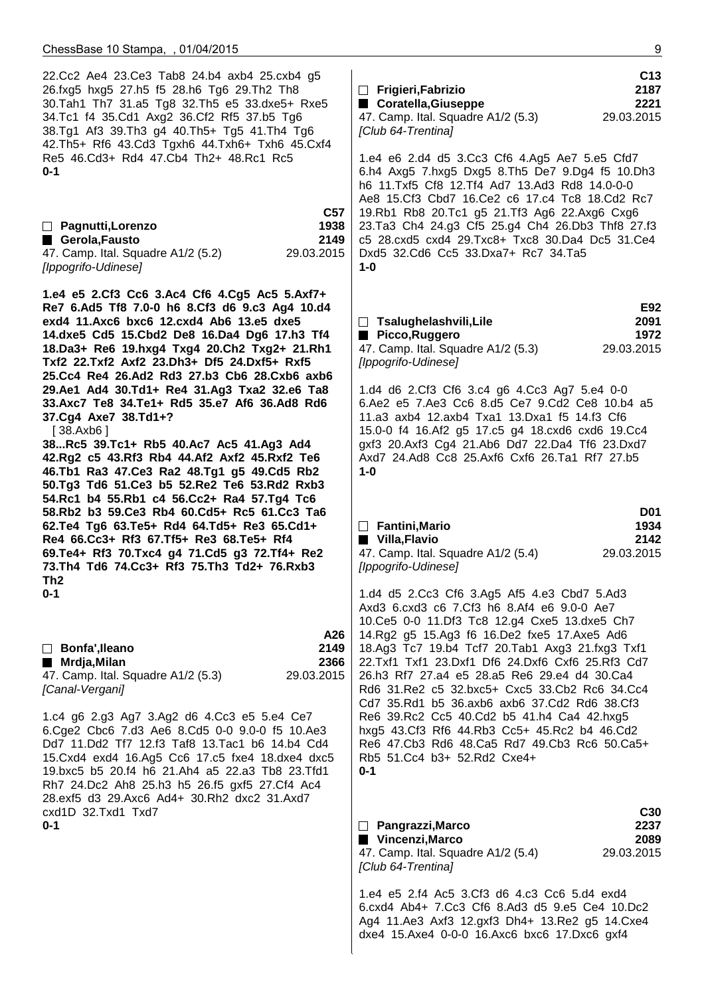22.Cc2 Ae4 23.Ce3 Tab8 24.b4 axb4 25.cxb4 g5 26.fxg5 hxg5 27.h5 f5 28.h6 Tg6 29.Th2 Th8 30.Tah1 Th7 31.a5 Tg8 32.Th5 e5 33.dxe5+ Rxe5 34.Tc1 f4 35.Cd1 Axg2 36.Cf2 Rf5 37.b5 Tg6 38.Tg1 Af3 39.Th3 g4 40.Th5+ Tg5 41.Th4 Tg6 42.Th5+ Rf6 43.Cd3 Tgxh6 44.Txh6+ Txh6 45.Cxf4 Re5 46.Cd3+ Rd4 47.Cb4 Th2+ 48.Rc1 Rc5 **0-1 C57 Pagnutti,Lorenzo 1938 Gerola,Fausto 2149** 47. Camp. Ital. Squadre A1/2 (5.2) 29.03.2015 [Ippogrifo-Udinese]  **1.e4 e5 2.Cf3 Cc6 3.Ac4 Cf6 4.Cg5 Ac5 5.Axf7+ Re7 6.Ad5 Tf8 7.0-0 h6 8.Cf3 d6 9.c3 Ag4 10.d4 exd4 11.Axc6 bxc6 12.cxd4 Ab6 13.e5 dxe5 14.dxe5 Cd5 15.Cbd2 De8 16.Da4 Dg6 17.h3 Tf4 18.Da3+ Re6 19.hxg4 Txg4 20.Ch2 Txg2+ 21.Rh1 Txf2 22.Txf2 Axf2 23.Dh3+ Df5 24.Dxf5+ Rxf5 25.Cc4 Re4 26.Ad2 Rd3 27.b3 Cb6 28.Cxb6 axb6 29.Ae1 Ad4 30.Td1+ Re4 31.Ag3 Txa2 32.e6 Ta8 33.Axc7 Te8 34.Te1+ Rd5 35.e7 Af6 36.Ad8 Rd6 37.Cg4 Axe7 38.Td1+?** [ 38.Axb6 ]  **38...Rc5 39.Tc1+ Rb5 40.Ac7 Ac5 41.Ag3 Ad4 42.Rg2 c5 43.Rf3 Rb4 44.Af2 Axf2 45.Rxf2 Te6 46.Tb1 Ra3 47.Ce3 Ra2 48.Tg1 g5 49.Cd5 Rb2 50.Tg3 Td6 51.Ce3 b5 52.Re2 Te6 53.Rd2 Rxb3 54.Rc1 b4 55.Rb1 c4 56.Cc2+ Ra4 57.Tg4 Tc6 58.Rb2 b3 59.Ce3 Rb4 60.Cd5+ Rc5 61.Cc3 Ta6 62.Te4 Tg6 63.Te5+ Rd4 64.Td5+ Re3 65.Cd1+ Re4 66.Cc3+ Rf3 67.Tf5+ Re3 68.Te5+ Rf4 69.Te4+ Rf3 70.Txc4 g4 71.Cd5 g3 72.Tf4+ Re2 73.Th4 Td6 74.Cc3+ Rf3 75.Th3 Td2+ 76.Rxb3 Th2 0-1 A26 Bonfa',Ileano 2149 Mrdja,Milan 2366** 47. Camp. Ital. Squadre A1/2 (5.3) 29.03.2015 [Canal-Vergani] 1.c4 g6 2.g3 Ag7 3.Ag2 d6 4.Cc3 e5 5.e4 Ce7 6.Cge2 Cbc6 7.d3 Ae6 8.Cd5 0-0 9.0-0 f5 10.Ae3 Dd7 11.Dd2 Tf7 12.f3 Taf8 13.Tac1 b6 14.b4 Cd4 15.Cxd4 exd4 16.Ag5 Cc6 17.c5 fxe4 18.dxe4 dxc5 19.bxc5 b5 20.f4 h6 21.Ah4 a5 22.a3 Tb8 23.Tfd1 Rh7 24.Dc2 Ah8 25.h3 h5 26.f5 gxf5 27.Cf4 Ac4 28.exf5 d3 29.Axc6 Ad4+ 30.Rh2 dxc2 31.Axd7 cxd1D 32.Txd1 Txd7 **0-1 C13 Frigieri,Fabrizio 2187** ■ Coratella,Giuseppe 2221 47. Camp. Ital. Squadre A1/2 (5.3) 29.03.2015 [Club 64-Trentina] 1.e4 e6 2.d4 d5 3.Cc3 Cf6 4.Ag5 Ae7 5.e5 Cfd7 6.h4 Axg5 7.hxg5 Dxg5 8.Th5 De7 9.Dg4 f5 10.Dh3 h6 11.Txf5 Cf8 12.Tf4 Ad7 13.Ad3 Rd8 14.0-0-0 Ae8 15.Cf3 Cbd7 16.Ce2 c6 17.c4 Tc8 18.Cd2 Rc7 19.Rb1 Rb8 20.Tc1 g5 21.Tf3 Ag6 22.Axg6 Cxg6 23.Ta3 Ch4 24.g3 Cf5 25.g4 Ch4 26.Db3 Thf8 27.f3 c5 28.cxd5 cxd4 29.Txc8+ Txc8 30.Da4 Dc5 31.Ce4 Dxd5 32.Cd6 Cc5 33.Dxa7+ Rc7 34.Ta5 **1-0 E92 Tsalughelashvili,Lile 2091 Picco,Ruggero 1972** 47. Camp. Ital. Squadre A1/2 (5.3) 29.03.2015 [Ippogrifo-Udinese] 1.d4 d6 2.Cf3 Cf6 3.c4 g6 4.Cc3 Ag7 5.e4 0-0 6.Ae2 e5 7.Ae3 Cc6 8.d5 Ce7 9.Cd2 Ce8 10.b4 a5 11.a3 axb4 12.axb4 Txa1 13.Dxa1 f5 14.f3 Cf6 15.0-0 f4 16.Af2 g5 17.c5 g4 18.cxd6 cxd6 19.Cc4 gxf3 20.Axf3 Cg4 21.Ab6 Dd7 22.Da4 Tf6 23.Dxd7 Axd7 24.Ad8 Cc8 25.Axf6 Cxf6 26.Ta1 Rf7 27.b5 **1-0 D01 Fantini,Mario 1934 Villa,Flavio 2142** 47. Camp. Ital. Squadre A1/2 (5.4) 29.03.2015 [Ippogrifo-Udinese] 1.d4 d5 2.Cc3 Cf6 3.Ag5 Af5 4.e3 Cbd7 5.Ad3 Axd3 6.cxd3 c6 7.Cf3 h6 8.Af4 e6 9.0-0 Ae7 10.Ce5 0-0 11.Df3 Tc8 12.g4 Cxe5 13.dxe5 Ch7 14.Rg2 g5 15.Ag3 f6 16.De2 fxe5 17.Axe5 Ad6 18.Ag3 Tc7 19.b4 Tcf7 20.Tab1 Axg3 21.fxg3 Txf1 22.Txf1 Txf1 23.Dxf1 Df6 24.Dxf6 Cxf6 25.Rf3 Cd7 26.h3 Rf7 27.a4 e5 28.a5 Re6 29.e4 d4 30.Ca4 Rd6 31.Re2 c5 32.bxc5+ Cxc5 33.Cb2 Rc6 34.Cc4 Cd7 35.Rd1 b5 36.axb6 axb6 37.Cd2 Rd6 38.Cf3 Re6 39.Rc2 Cc5 40.Cd2 b5 41.h4 Ca4 42.hxg5 hxg5 43.Cf3 Rf6 44.Rb3 Cc5+ 45.Rc2 b4 46.Cd2 Re6 47.Cb3 Rd6 48.Ca5 Rd7 49.Cb3 Rc6 50.Ca5+ Rb5 51.Cc4 b3+ 52.Rd2 Cxe4+ **0-1 C30 Pangrazzi,Marco 2237 Vincenzi,Marco 2089** 47. Camp. Ital. Squadre A1/2 (5.4) 29.03.2015 [Club 64-Trentina] 1.e4 e5 2.f4 Ac5 3.Cf3 d6 4.c3 Cc6 5.d4 exd4 6.cxd4 Ab4+ 7.Cc3 Cf6 8.Ad3 d5 9.e5 Ce4 10.Dc2 Ag4 11.Ae3 Axf3 12.gxf3 Dh4+ 13.Re2 g5 14.Cxe4 dxe4 15.Axe4 0-0-0 16.Axc6 bxc6 17.Dxc6 gxf4